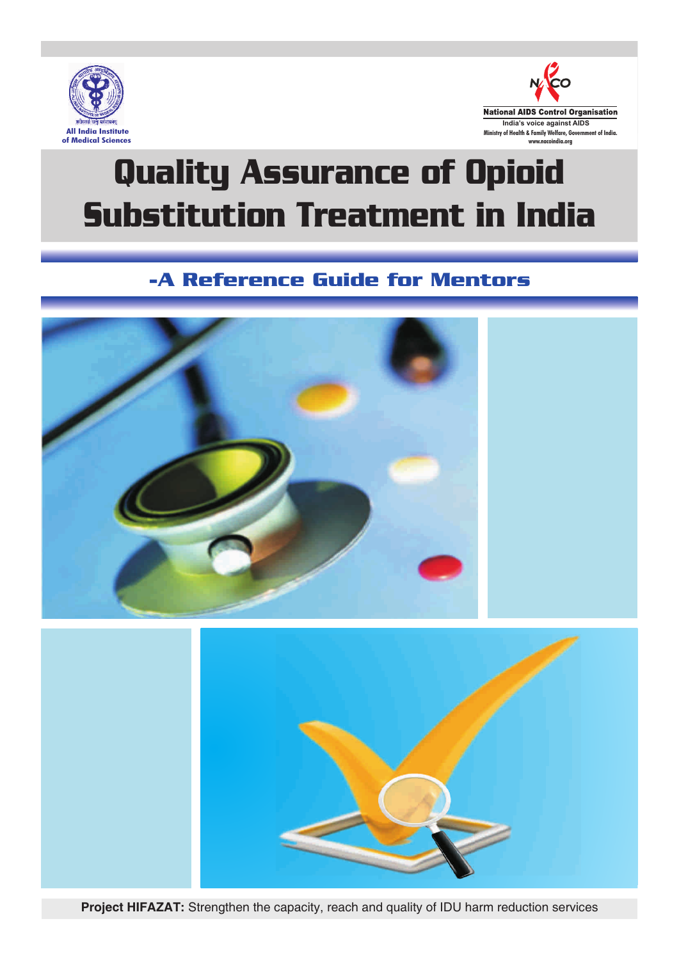



# Quality Assurance of Opioid Substitution Treatment in India

# -A Reference Guide for Mentors



**Project HIFAZAT:** Strengthen the capacity, reach and quality of IDU harm reduction services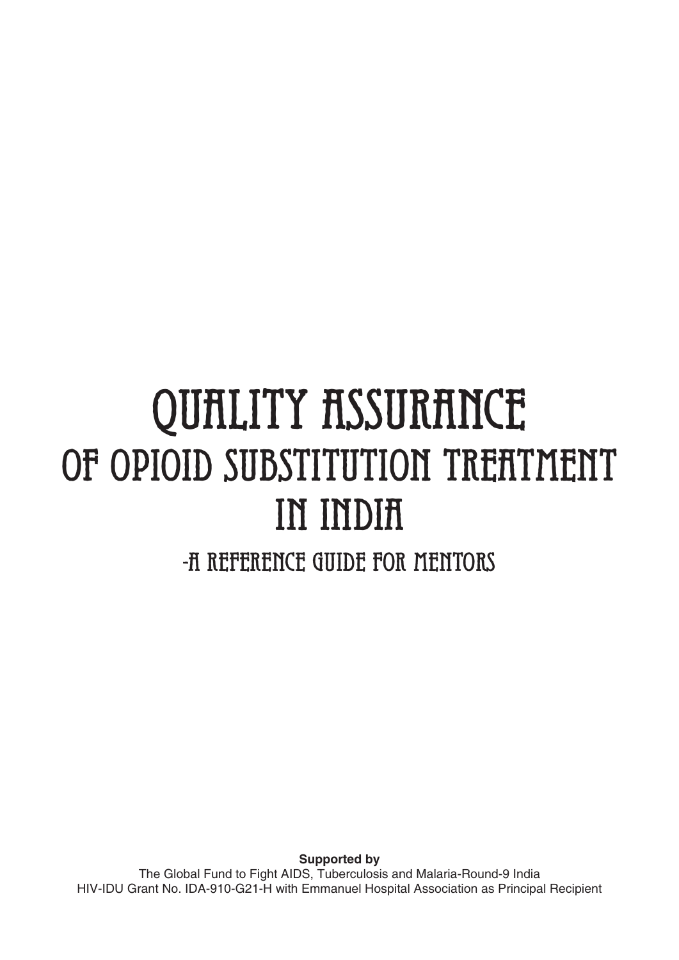# QUALITY ASSURANCE OF OPIOID SUBSTITUTION TREATMENT in India

-A Reference Guide for Mentors

**Supported by**  The Global Fund to Fight AIDS, Tuberculosis and Malaria-Round-9 India HIV-IDU Grant No. IDA-910-G21-H with Emmanuel Hospital Association as Principal Recipient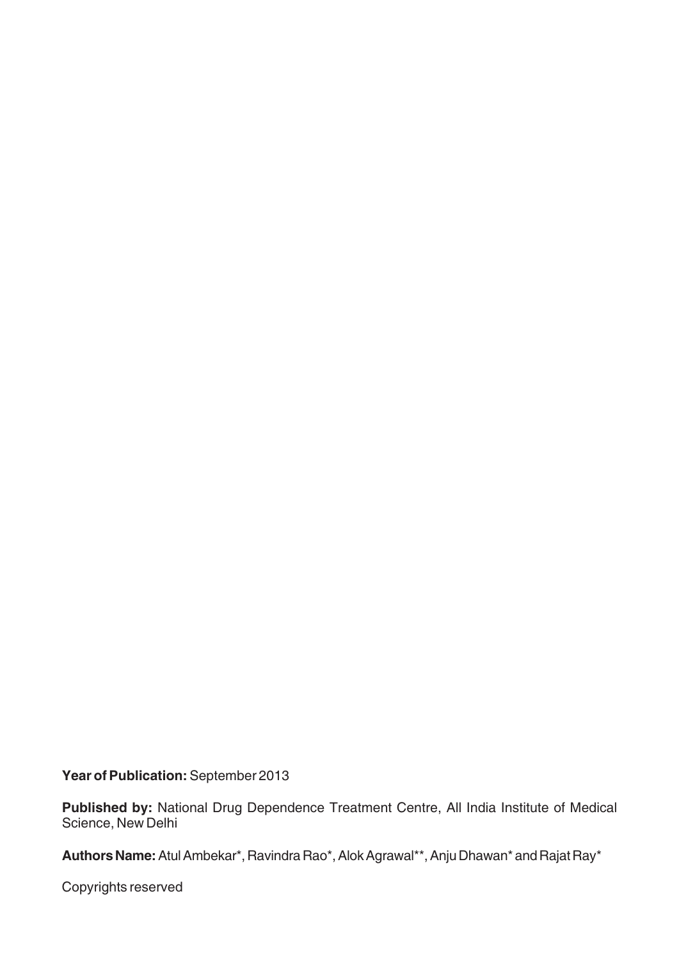**Year of Publication:** September 2013

**Published by:** National Drug Dependence Treatment Centre, All India Institute of Medical Science, New Delhi

Authors Name: Atul Ambekar\*, Ravindra Rao\*, Alok Agrawal\*\*, Anju Dhawan\* and Rajat Ray\*

Copyrights reserved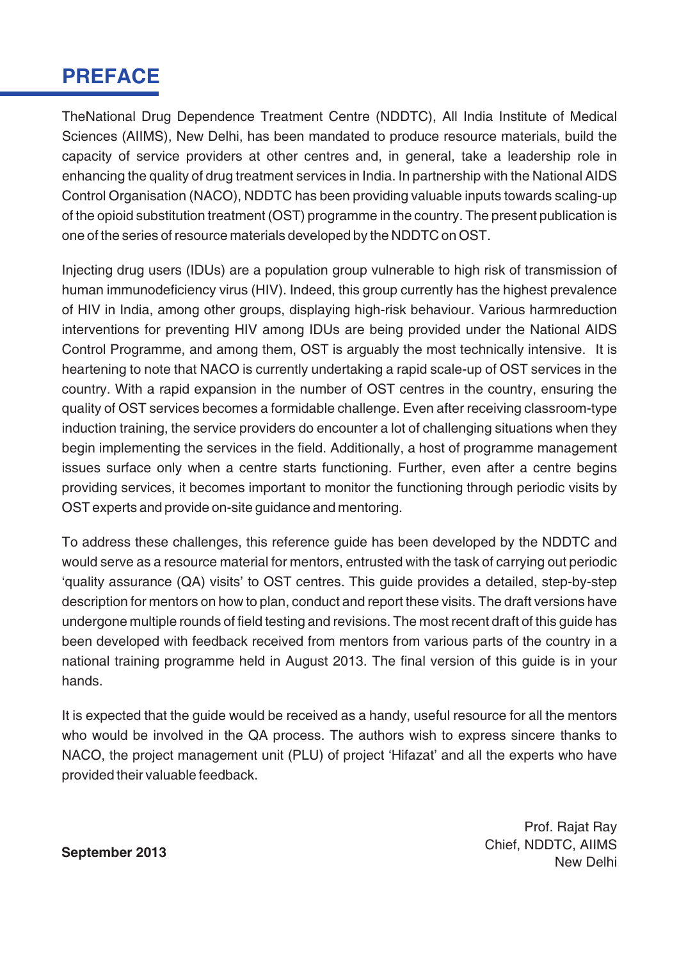# **PREFACE**

TheNational Drug Dependence Treatment Centre (NDDTC), All India Institute of Medical Sciences (AIIMS), New Delhi, has been mandated to produce resource materials, build the capacity of service providers at other centres and, in general, take a leadership role in enhancing the quality of drug treatment services in India. In partnership with the National AIDS Control Organisation (NACO), NDDTC has been providing valuable inputs towards scaling-up of the opioid substitution treatment (OST) programme in the country. The present publication is one of the series of resource materials developed by the NDDTC on OST.

Injecting drug users (IDUs) are a population group vulnerable to high risk of transmission of human immunodeficiency virus (HIV). Indeed, this group currently has the highest prevalence of HIV in India, among other groups, displaying high-risk behaviour. Various harmreduction interventions for preventing HIV among IDUs are being provided under the National AIDS Control Programme, and among them, OST is arguably the most technically intensive. It is heartening to note that NACO is currently undertaking a rapid scale-up of OST services in the country. With a rapid expansion in the number of OST centres in the country, ensuring the quality of OST services becomes a formidable challenge. Even after receiving classroom-type induction training, the service providers do encounter a lot of challenging situations when they begin implementing the services in the field. Additionally, a host of programme management issues surface only when a centre starts functioning. Further, even after a centre begins providing services, it becomes important to monitor the functioning through periodic visits by OST experts and provide on-site guidance and mentoring.

To address these challenges, this reference guide has been developed by the NDDTC and would serve as a resource material for mentors, entrusted with the task of carrying out periodic 'quality assurance (QA) visits' to OST centres. This guide provides a detailed, step-by-step description for mentors on how to plan, conduct and report these visits. The draft versions have undergone multiple rounds of field testing and revisions. The most recent draft of this guide has been developed with feedback received from mentors from various parts of the country in a national training programme held in August 2013. The final version of this guide is in your hands.

It is expected that the guide would be received as a handy, useful resource for all the mentors who would be involved in the QA process. The authors wish to express sincere thanks to NACO, the project management unit (PLU) of project 'Hifazat' and all the experts who have provided their valuable feedback.

Prof. Rajat Ray Chief, NDDTC, AIIMS September 2013<br>New Delhi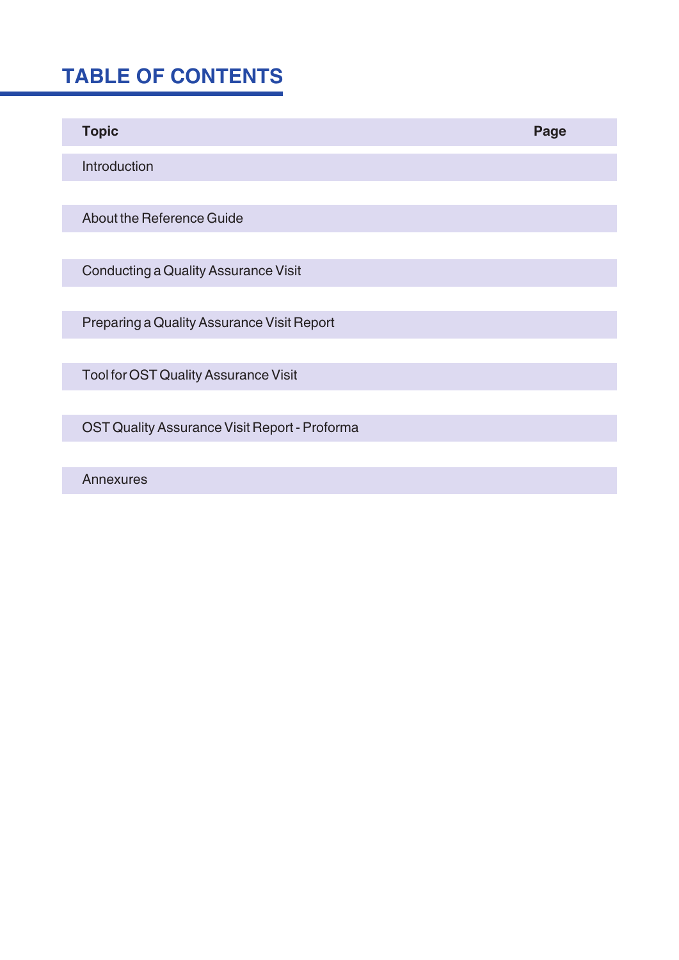# **TABLE OF CONTENTS**

| <b>Topic</b>                                  | Page |
|-----------------------------------------------|------|
| Introduction                                  |      |
|                                               |      |
| About the Reference Guide                     |      |
|                                               |      |
| <b>Conducting a Quality Assurance Visit</b>   |      |
|                                               |      |
| Preparing a Quality Assurance Visit Report    |      |
|                                               |      |
| <b>Tool for OST Quality Assurance Visit</b>   |      |
|                                               |      |
| OST Quality Assurance Visit Report - Proforma |      |
|                                               |      |

Annexures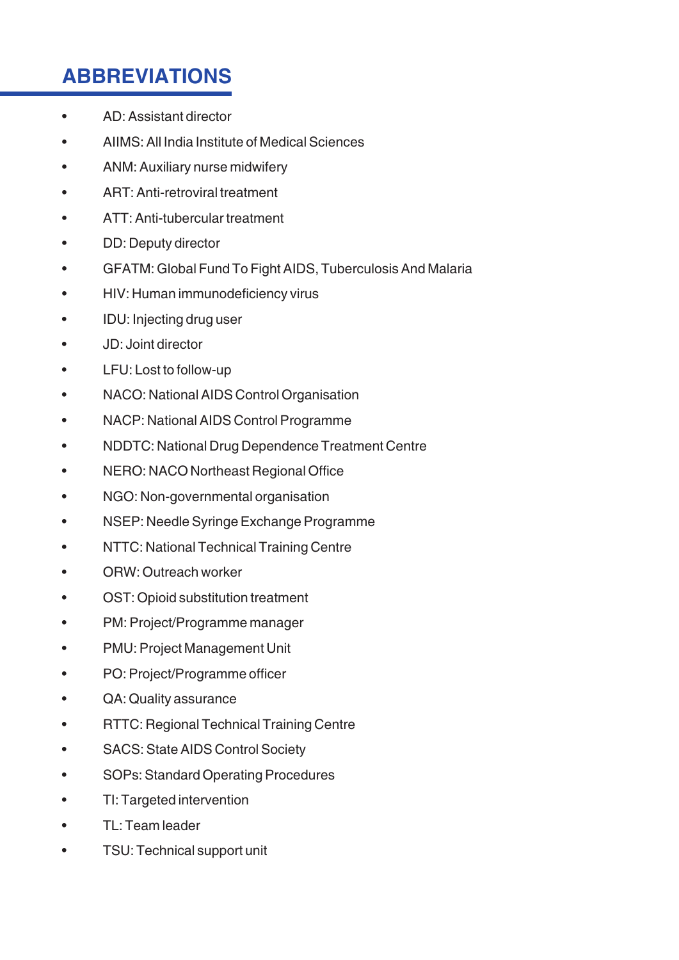# **ABBREVIATIONS**

- AD: Assistant director
- AIIMS: All India Institute of Medical Sciences
- ANM: Auxiliary nurse midwifery
- ART: Anti-retroviral treatment
- ATT: Anti-tubercular treatment
- DD: Deputy director
- GFATM: Global Fund To Fight AIDS, Tuberculosis And Malaria
- HIV: Human immunodeficiency virus
- IDU: Injecting drug user
- JD: Joint director
- LFU: Lost to follow-up
- NACO: National AIDS Control Organisation
- NACP: National AIDS Control Programme
- NDDTC: National Drug Dependence Treatment Centre
- NERO: NACO Northeast Regional Office
- NGO: Non-governmental organisation
- NSEP: Needle Syringe Exchange Programme
- NTTC: National Technical Training Centre
- ORW: Outreach worker
- OST: Opioid substitution treatment
- PM: Project/Programme manager
- PMU: Project Management Unit
- PO: Project/Programme officer
- QA: Quality assurance
- RTTC: Regional Technical Training Centre
- SACS: State AIDS Control Society
- SOPs: Standard Operating Procedures
- TI: Targeted intervention
- TL: Team leader
- TSU: Technical support unit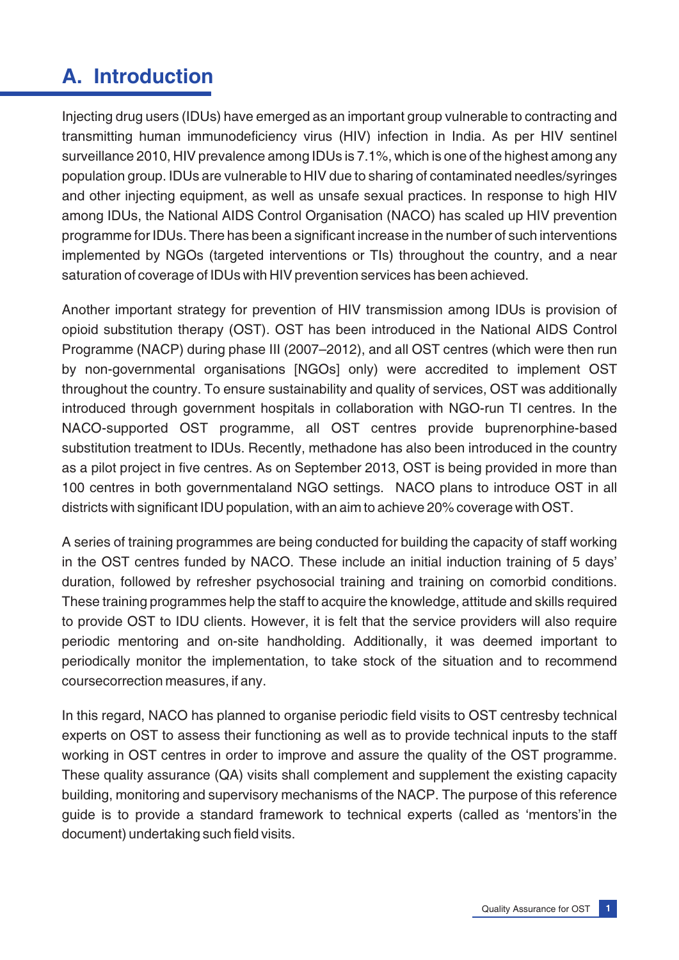# **A. Introduction**

Injecting drug users (IDUs) have emerged as an important group vulnerable to contracting and transmitting human immunodeficiency virus (HIV) infection in India. As per HIV sentinel surveillance 2010, HIV prevalence among IDUs is 7.1%, which is one of the highest among any population group. IDUs are vulnerable to HIV due to sharing of contaminated needles/syringes and other injecting equipment, as well as unsafe sexual practices. In response to high HIV among IDUs, the National AIDS Control Organisation (NACO) has scaled up HIV prevention programme for IDUs. There has been a significant increase in the number of such interventions implemented by NGOs (targeted interventions or TIs) throughout the country, and a near saturation of coverage of IDUs with HIV prevention services has been achieved.

Another important strategy for prevention of HIV transmission among IDUs is provision of opioid substitution therapy (OST). OST has been introduced in the National AIDS Control Programme (NACP) during phase III (2007–2012), and all OST centres (which were then run by non-governmental organisations [NGOs] only) were accredited to implement OST throughout the country. To ensure sustainability and quality of services, OST was additionally introduced through government hospitals in collaboration with NGO-run TI centres. In the NACO-supported OST programme, all OST centres provide buprenorphine-based substitution treatment to IDUs. Recently, methadone has also been introduced in the country as a pilot project in five centres. As on September 2013, OST is being provided in more than 100 centres in both governmentaland NGO settings. NACO plans to introduce OST in all districts with significant IDU population, with an aim to achieve 20% coverage with OST.

A series of training programmes are being conducted for building the capacity of staff working in the OST centres funded by NACO. These include an initial induction training of 5 days' duration, followed by refresher psychosocial training and training on comorbid conditions. These training programmes help the staff to acquire the knowledge, attitude and skills required to provide OST to IDU clients. However, it is felt that the service providers will also require periodic mentoring and on-site handholding. Additionally, it was deemed important to periodically monitor the implementation, to take stock of the situation and to recommend coursecorrection measures, if any.

In this regard, NACO has planned to organise periodic field visits to OST centresby technical experts on OST to assess their functioning as well as to provide technical inputs to the staff working in OST centres in order to improve and assure the quality of the OST programme. These quality assurance (QA) visits shall complement and supplement the existing capacity building, monitoring and supervisory mechanisms of the NACP. The purpose of this reference guide is to provide a standard framework to technical experts (called as 'mentors'in the document) undertaking such field visits.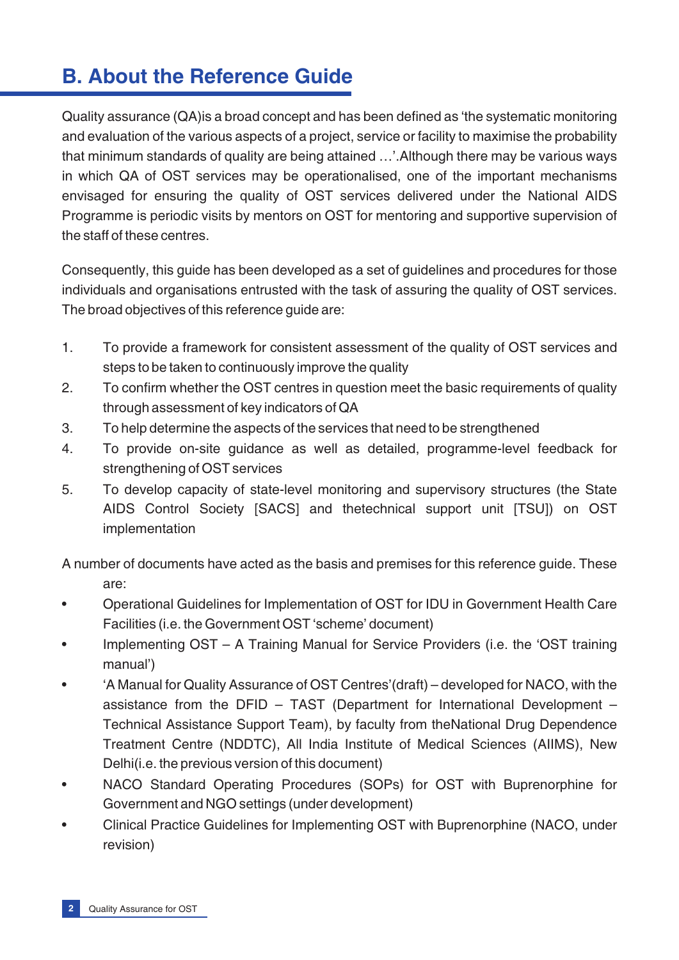# **B. About the Reference Guide**

Quality assurance (QA)is a broad concept and has been defined as 'the systematic monitoring and evaluation of the various aspects of a project, service or facility to maximise the probability that minimum standards of quality are being attained …'.Although there may be various ways in which QA of OST services may be operationalised, one of the important mechanisms envisaged for ensuring the quality of OST services delivered under the National AIDS Programme is periodic visits by mentors on OST for mentoring and supportive supervision of the staff of these centres.

Consequently, this guide has been developed as a set of guidelines and procedures for those individuals and organisations entrusted with the task of assuring the quality of OST services. The broad objectives of this reference guide are:

- 1. To provide a framework for consistent assessment of the quality of OST services and steps to be taken to continuously improve the quality
- 2. To confirm whether the OST centres in question meet the basic requirements of quality through assessment of key indicators of QA
- 3. To help determine the aspects of the services that need to be strengthened
- 4. To provide on-site guidance as well as detailed, programme-level feedback for strengthening of OST services
- 5. To develop capacity of state-level monitoring and supervisory structures (the State AIDS Control Society [SACS] and thetechnical support unit [TSU]) on OST implementation

A number of documents have acted as the basis and premises for this reference guide. These are:

- Operational Guidelines for Implementation of OST for IDU in Government Health Care Facilities (i.e. the Government OST 'scheme' document)
- Implementing OST A Training Manual for Service Providers (i.e. the 'OST training manual')
- 'A Manual for Quality Assurance of OST Centres'(draft) developed for NACO, with the assistance from the DFID – TAST (Department for International Development – Technical Assistance Support Team), by faculty from theNational Drug Dependence Treatment Centre (NDDTC), All India Institute of Medical Sciences (AIIMS), New Delhi(i.e. the previous version of this document)
- NACO Standard Operating Procedures (SOPs) for OST with Buprenorphine for Government and NGO settings (under development)
- Clinical Practice Guidelines for Implementing OST with Buprenorphine (NACO, under revision)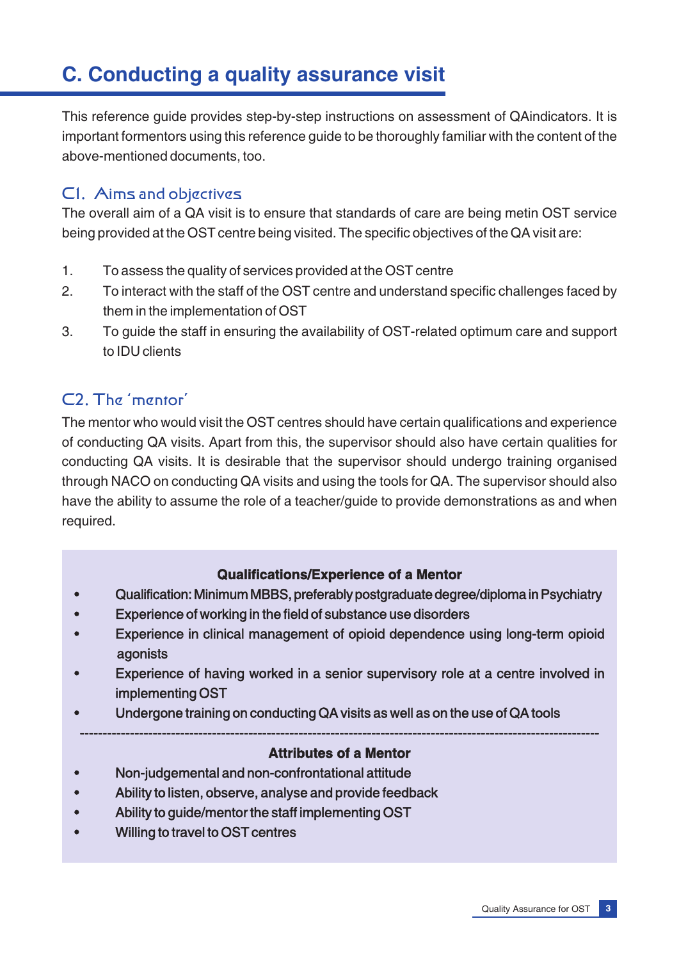# **C. Conducting a quality assurance visit**

This reference guide provides step-by-step instructions on assessment of QAindicators. It is important formentors using this reference guide to be thoroughly familiar with the content of the above-mentioned documents, too.

# C1. Aims and objectives

The overall aim of a QA visit is to ensure that standards of care are being metin OST service being provided at the OST centre being visited. The specific objectives of the QA visit are:

- 1. To assess the quality of services provided at the OST centre
- 2. To interact with the staff of the OST centre and understand specific challenges faced by them in the implementation of OST
- 3. To guide the staff in ensuring the availability of OST-related optimum care and support to IDU clients

# C2. The 'mentor'

The mentor who would visit the OST centres should have certain qualifications and experience of conducting QA visits. Apart from this, the supervisor should also have certain qualities for conducting QA visits. It is desirable that the supervisor should undergo training organised through NACO on conducting QA visits and using the tools for QA. The supervisor should also have the ability to assume the role of a teacher/guide to provide demonstrations as and when required.

#### **Qualifications/Experience of a Mentor**

- Qualification: Minimum MBBS, preferably postgraduate degree/diploma in Psychiatry
- Experience of working in the field of substance use disorders
- Experience in clinical management of opioid dependence using long-term opioid agonists
- Experience of having worked in a senior supervisory role at a centre involved in implementing OST
- Undergone training on conducting QA visits as well as on the use of QA tools

#### ------------------------------------------------------------------------------------------------------------------ **Attributes of a Mentor**

- Non-judgemental and non-confrontational attitude
- Ability to listen, observe, analyse and provide feedback
- Ability to guide/mentor the staff implementing OST
- Willing to travel to OST centres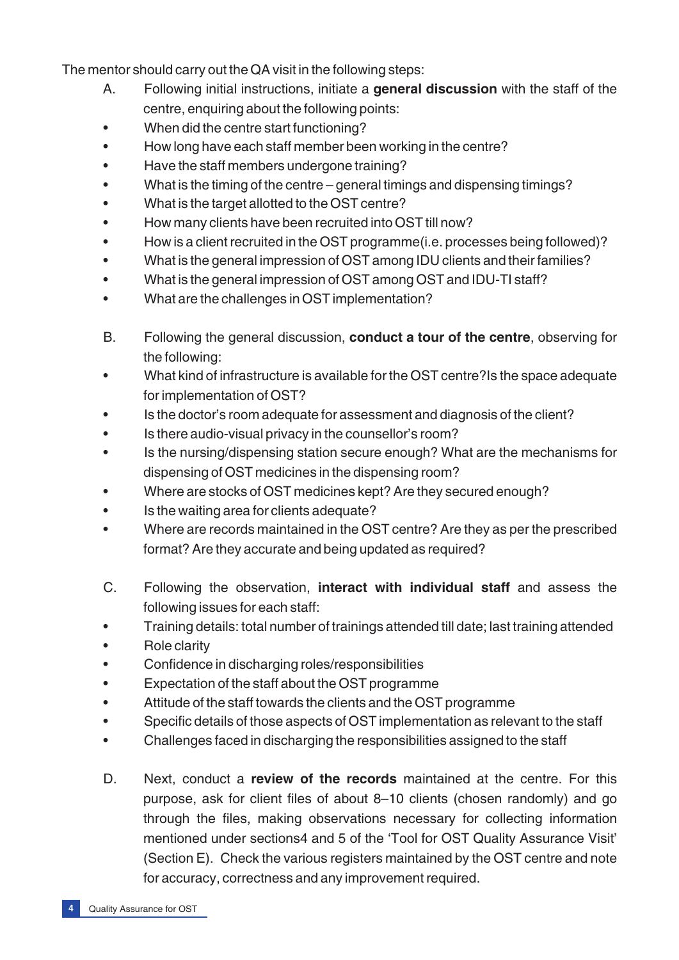The mentor should carry out the QA visit in the following steps:

- A. Following initial instructions, initiate a **general discussion** with the staff of the centre, enquiring about the following points:
- When did the centre start functioning?
- How long have each staff member been working in the centre?
- Have the staff members undergone training?
- What is the timing of the centre general timings and dispensing timings?
- What is the target allotted to the OST centre?
- How many clients have been recruited into OST till now?
- How is a client recruited in the OST programme(i.e. processes being followed)?
- What is the general impression of OST among IDU clients and their families?
- What is the general impression of OST among OST and IDU-TI staff?
- What are the challenges in OST implementation?
- B. Following the general discussion, **conduct a tour of the centre**, observing for the following:
- What kind of infrastructure is available for the OST centre?Is the space adequate for implementation of OST?
- Is the doctor's room adequate for assessment and diagnosis of the client?
- Is there audio-visual privacy in the counsellor's room?
- Is the nursing/dispensing station secure enough? What are the mechanisms for dispensing of OST medicines in the dispensing room?
- Where are stocks of OST medicines kept? Are they secured enough?
- Is the waiting area for clients adequate?
- Where are records maintained in the OST centre? Are they as per the prescribed format? Are they accurate and being updated as required?
- C. Following the observation, **interact with individual staff** and assess the following issues for each staff:
- Training details: total number of trainings attended till date; last training attended
- Role clarity
- Confidence in discharging roles/responsibilities
- Expectation of the staff about the OST programme
- Attitude of the staff towards the clients and the OST programme
- Specific details of those aspects of OST implementation as relevant to the staff
- Challenges faced in discharging the responsibilities assigned to the staff
- D. Next, conduct a **review of the records** maintained at the centre. For this purpose, ask for client files of about 8–10 clients (chosen randomly) and go through the files, making observations necessary for collecting information mentioned under sections4 and 5 of the 'Tool for OST Quality Assurance Visit' (Section E). Check the various registers maintained by the OST centre and note for accuracy, correctness and any improvement required.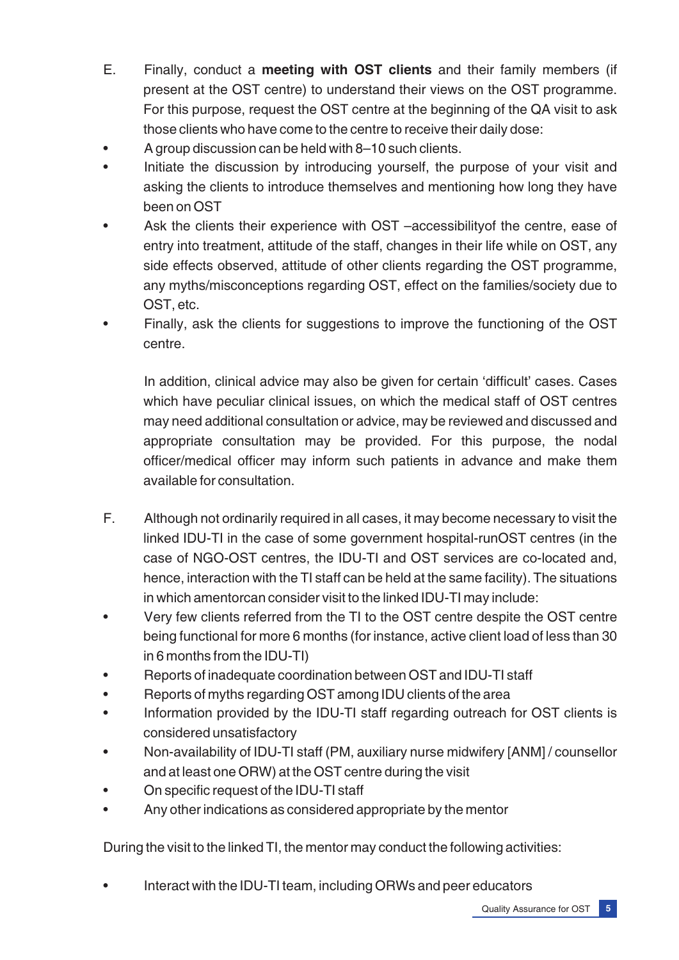- E. Finally, conduct a **meeting with OST clients** and their family members (if present at the OST centre) to understand their views on the OST programme. For this purpose, request the OST centre at the beginning of the QA visit to ask those clients who have come to the centre to receive their daily dose:
- A group discussion can be held with 8–10 such clients.
- Initiate the discussion by introducing yourself, the purpose of your visit and asking the clients to introduce themselves and mentioning how long they have been on OST
- Ask the clients their experience with OST –accessibility of the centre, ease of entry into treatment, attitude of the staff, changes in their life while on OST, any side effects observed, attitude of other clients regarding the OST programme, any myths/misconceptions regarding OST, effect on the families/society due to OST, etc.
- Finally, ask the clients for suggestions to improve the functioning of the OST centre.

In addition, clinical advice may also be given for certain 'difficult' cases. Cases which have peculiar clinical issues, on which the medical staff of OST centres may need additional consultation or advice, may be reviewed and discussed and appropriate consultation may be provided. For this purpose, the nodal officer/medical officer may inform such patients in advance and make them available for consultation.

- F. Although not ordinarily required in all cases, it may become necessary to visit the linked IDU-TI in the case of some government hospital-runOST centres (in the case of NGO-OST centres, the IDU-TI and OST services are co-located and, hence, interaction with the TI staff can be held at the same facility). The situations in which amentorcan consider visit to the linked IDU-TI may include:
- Very few clients referred from the TI to the OST centre despite the OST centre being functional for more 6 months (for instance, active client load of less than 30 in 6 months from the IDU-TI)
- Reports of inadequate coordination between OST and IDU-TI staff
- Reports of myths regarding OST among IDU clients of the area
- Information provided by the IDU-TI staff regarding outreach for OST clients is considered unsatisfactory
- Non-availability of IDU-TI staff (PM, auxiliary nurse midwifery [ANM] / counsellor and at least one ORW) at the OST centre during the visit
- On specific request of the IDU-TI staff
- Any other indications as considered appropriate by the mentor

During the visit to the linked TI, the mentor may conduct the following activities:

• Interact with the IDU-TI team, including ORWs and peer educators

Quality Assurance for OST **5**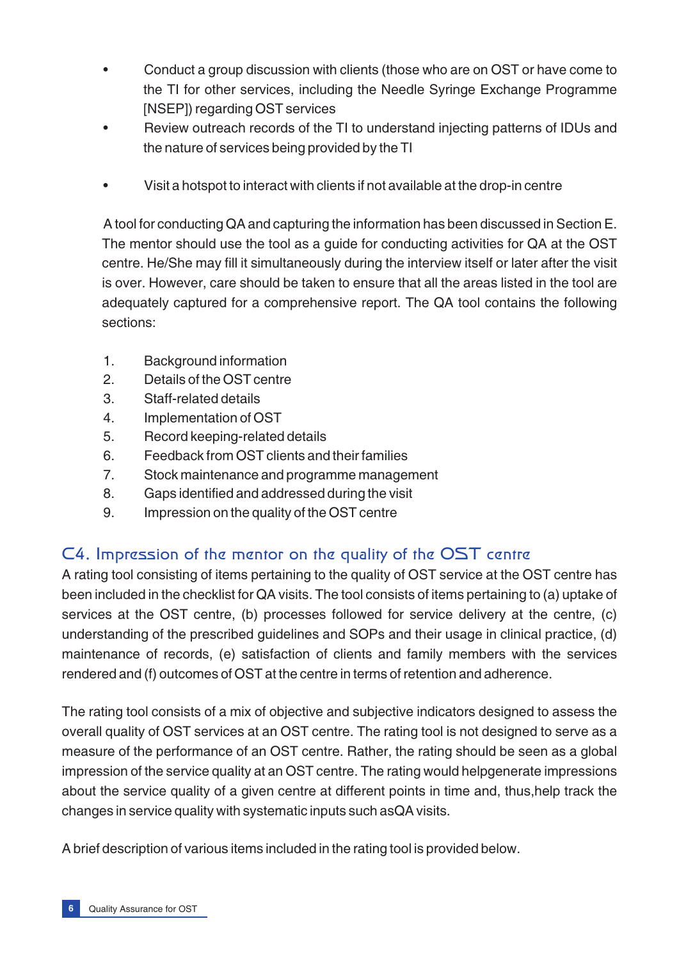- Conduct a group discussion with clients (those who are on OST or have come to the TI for other services, including the Needle Syringe Exchange Programme [NSEP]) regarding OST services
- Review outreach records of the TI to understand injecting patterns of IDUs and the nature of services being provided by the TI
- Visit a hotspot to interact with clients if not available at the drop-in centre

A tool for conducting QA and capturing the information has been discussed in Section E. The mentor should use the tool as a guide for conducting activities for QA at the OST centre. He/She may fill it simultaneously during the interview itself or later after the visit is over. However, care should be taken to ensure that all the areas listed in the tool are adequately captured for a comprehensive report. The QA tool contains the following sections:

- 1. Background information
- 2. Details of the OST centre
- 3. Staff-related details
- 4. Implementation of OST
- 5. Record keeping-related details
- 6. Feedback from OST clients and their families
- 7. Stock maintenance and programme management
- 8. Gaps identified and addressed during the visit
- 9. Impression on the quality of the OST centre

# C4. Impression of the mentor on the quality of the OST centre

A rating tool consisting of items pertaining to the quality of OST service at the OST centre has been included in the checklist for QA visits. The tool consists of items pertaining to (a) uptake of services at the OST centre, (b) processes followed for service delivery at the centre, (c) understanding of the prescribed guidelines and SOPs and their usage in clinical practice, (d) maintenance of records, (e) satisfaction of clients and family members with the services rendered and (f) outcomes of OST at the centre in terms of retention and adherence.

The rating tool consists of a mix of objective and subjective indicators designed to assess the overall quality of OST services at an OST centre. The rating tool is not designed to serve as a measure of the performance of an OST centre. Rather, the rating should be seen as a global impression of the service quality at an OST centre. The rating would helpgenerate impressions about the service quality of a given centre at different points in time and, thus,help track the changes in service quality with systematic inputs such asQA visits.

A brief description of various items included in the rating tool is provided below.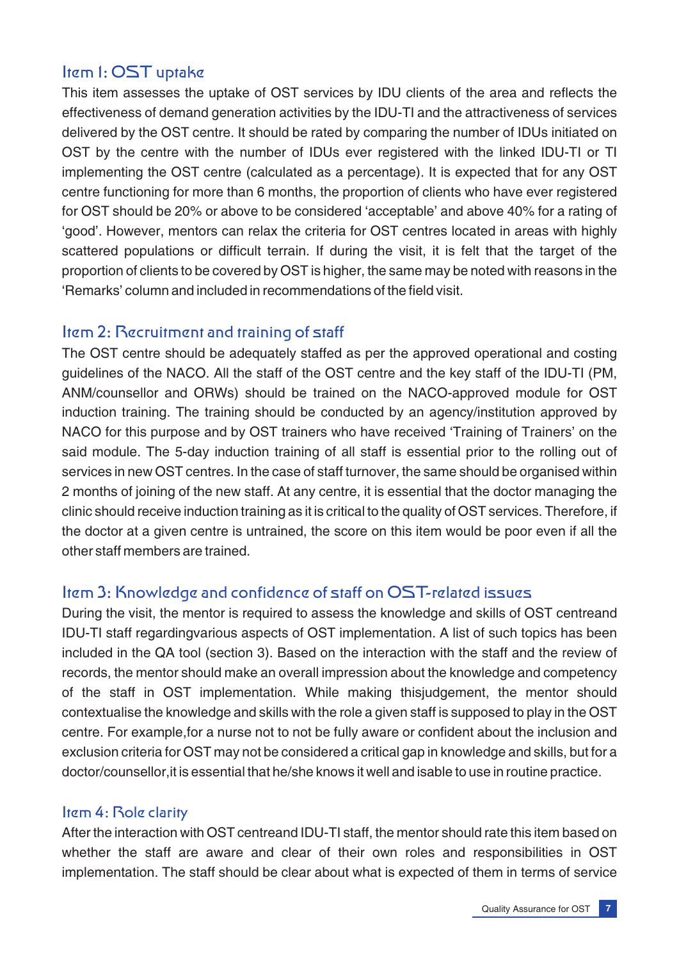# Item 1: OST uptake

This item assesses the uptake of OST services by IDU clients of the area and reflects the effectiveness of demand generation activities by the IDU-TI and the attractiveness of services delivered by the OST centre. It should be rated by comparing the number of IDUs initiated on OST by the centre with the number of IDUs ever registered with the linked IDU-TI or TI implementing the OST centre (calculated as a percentage). It is expected that for any OST centre functioning for more than 6 months, the proportion of clients who have ever registered for OST should be 20% or above to be considered 'acceptable' and above 40% for a rating of 'good'. However, mentors can relax the criteria for OST centres located in areas with highly scattered populations or difficult terrain. If during the visit, it is felt that the target of the proportion of clients to be covered by OST is higher, the same may be noted with reasons in the 'Remarks' column and included in recommendations of the field visit.

### Item 2: Recruitment and training of staff

The OST centre should be adequately staffed as per the approved operational and costing guidelines of the NACO. All the staff of the OST centre and the key staff of the IDU-TI (PM, ANM/counsellor and ORWs) should be trained on the NACO-approved module for OST induction training. The training should be conducted by an agency/institution approved by NACO for this purpose and by OST trainers who have received 'Training of Trainers' on the said module. The 5-day induction training of all staff is essential prior to the rolling out of services in new OST centres. In the case of staff turnover, the same should be organised within 2 months of joining of the new staff. At any centre, it is essential that the doctor managing the clinic should receive induction training as it is critical to the quality of OST services. Therefore, if the doctor at a given centre is untrained, the score on this item would be poor even if all the other staff members are trained.

# Item 3: Knowledge and confidence of staff on OST-related issues

During the visit, the mentor is required to assess the knowledge and skills of OST centreand IDU-TI staff regardingvarious aspects of OST implementation. A list of such topics has been included in the QA tool (section 3). Based on the interaction with the staff and the review of records, the mentor should make an overall impression about the knowledge and competency of the staff in OST implementation. While making thisjudgement, the mentor should contextualise the knowledge and skills with the role a given staff is supposed to play in the OST centre. For example,for a nurse not to not be fully aware or confident about the inclusion and exclusion criteria for OST may not be considered a critical gap in knowledge and skills, but for a doctor/counsellor,it is essential that he/she knows it well and isable to use in routine practice.

#### Item 4: Role clarity

After the interaction with OST centreand IDU-TI staff, the mentor should rate this item based on whether the staff are aware and clear of their own roles and responsibilities in OST implementation. The staff should be clear about what is expected of them in terms of service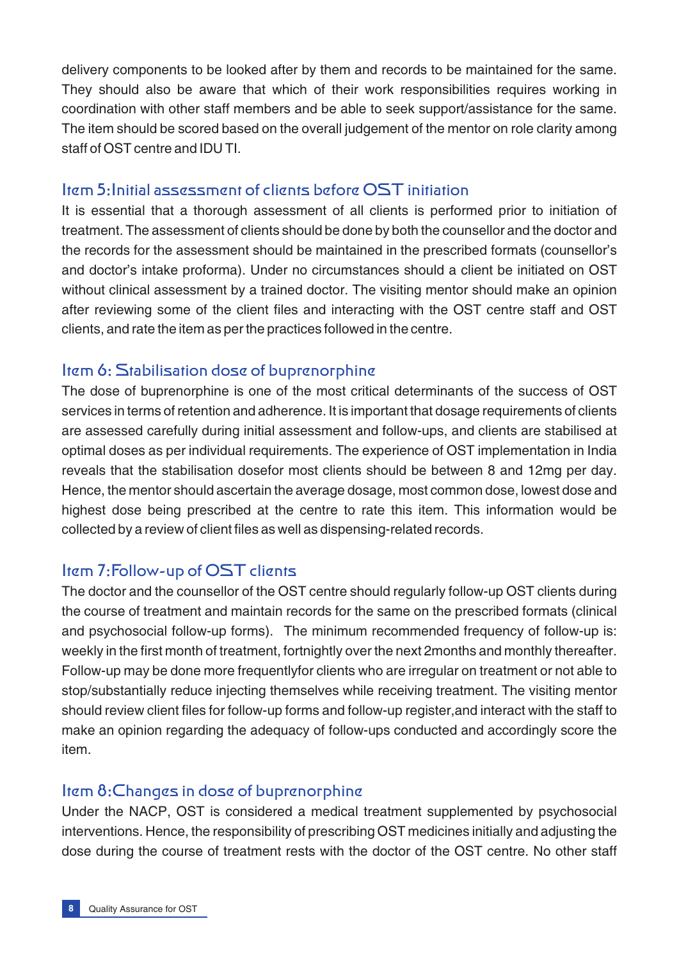delivery components to be looked after by them and records to be maintained for the same. They should also be aware that which of their work responsibilities requires working in coordination with other staff members and be able to seek support/assistance for the same. The item should be scored based on the overall judgement of the mentor on role clarity among staff of OST centre and IDU TI.

# Item 5:Initial assessment of clients before OST initiation

It is essential that a thorough assessment of all clients is performed prior to initiation of treatment. The assessment of clients should be done by both the counsellor and the doctor and the records for the assessment should be maintained in the prescribed formats (counsellor's and doctor's intake proforma). Under no circumstances should a client be initiated on OST without clinical assessment by a trained doctor. The visiting mentor should make an opinion after reviewing some of the client files and interacting with the OST centre staff and OST clients, and rate the item as per the practices followed in the centre.

# Item 6: Stabilisation dose of buprenorphine

The dose of buprenorphine is one of the most critical determinants of the success of OST services in terms of retention and adherence. It is important that dosage requirements of clients are assessed carefully during initial assessment and follow-ups, and clients are stabilised at optimal doses as per individual requirements. The experience of OST implementation in India reveals that the stabilisation dosefor most clients should be between 8 and 12mg per day. Hence, the mentor should ascertain the average dosage, most common dose, lowest dose and highest dose being prescribed at the centre to rate this item. This information would be collected by a review of client files as well as dispensing-related records.

# Item 7:Follow-up of OST clients

The doctor and the counsellor of the OST centre should regularly follow-up OST clients during the course of treatment and maintain records for the same on the prescribed formats (clinical and psychosocial follow-up forms). The minimum recommended frequency of follow-up is: weekly in the first month of treatment, fortnightly over the next 2months and monthly thereafter. Follow-up may be done more frequentlyfor clients who are irregular on treatment or not able to stop/substantially reduce injecting themselves while receiving treatment. The visiting mentor should review client files for follow-up forms and follow-up register,and interact with the staff to make an opinion regarding the adequacy of follow-ups conducted and accordingly score the item.

# Item 8:Changes in dose of buprenorphine

Under the NACP, OST is considered a medical treatment supplemented by psychosocial interventions. Hence, the responsibility of prescribing OST medicines initially and adjusting the dose during the course of treatment rests with the doctor of the OST centre. No other staff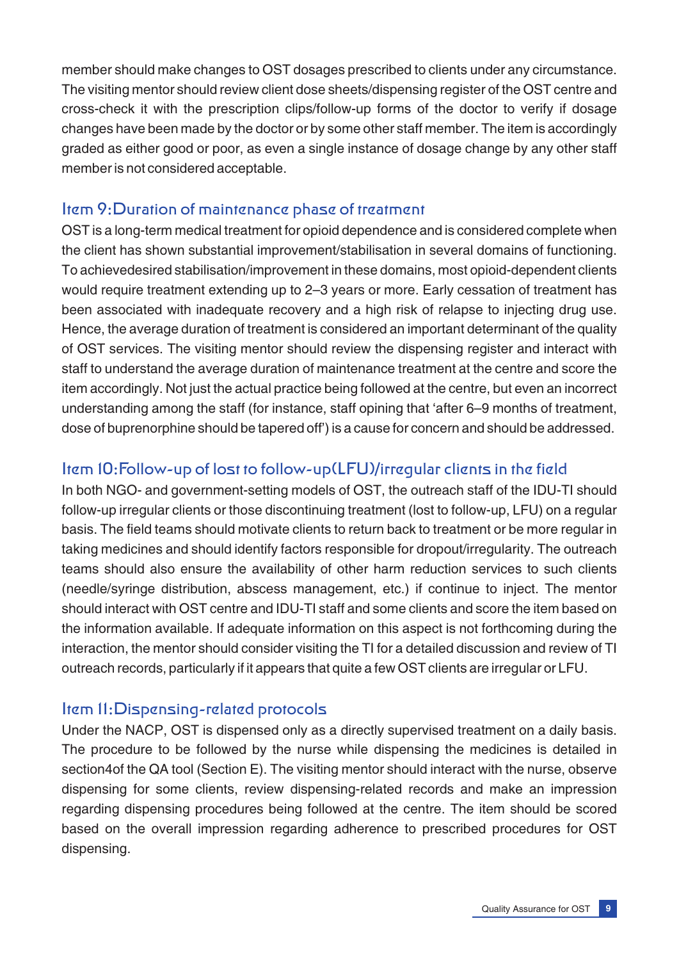member should make changes to OST dosages prescribed to clients under any circumstance. The visiting mentor should review client dose sheets/dispensing register of the OST centre and cross-check it with the prescription clips/follow-up forms of the doctor to verify if dosage changes have been made by the doctor or by some other staff member. The item is accordingly graded as either good or poor, as even a single instance of dosage change by any other staff member is not considered acceptable.

# Item 9:Duration of maintenance phase of treatment

OST is a long-term medical treatment for opioid dependence and is considered complete when the client has shown substantial improvement/stabilisation in several domains of functioning. To achievedesired stabilisation/improvement in these domains, most opioid-dependent clients would require treatment extending up to 2–3 years or more. Early cessation of treatment has been associated with inadequate recovery and a high risk of relapse to injecting drug use. Hence, the average duration of treatment is considered an important determinant of the quality of OST services. The visiting mentor should review the dispensing register and interact with staff to understand the average duration of maintenance treatment at the centre and score the item accordingly. Not just the actual practice being followed at the centre, but even an incorrect understanding among the staff (for instance, staff opining that 'after 6–9 months of treatment, dose of buprenorphine should be tapered off') is a cause for concern and should be addressed.

# Item 10:Follow-up of lost to follow-up(LFU)/irregular clients in the field

In both NGO- and government-setting models of OST, the outreach staff of the IDU-TI should follow-up irregular clients or those discontinuing treatment (lost to follow-up, LFU) on a regular basis. The field teams should motivate clients to return back to treatment or be more regular in taking medicines and should identify factors responsible for dropout/irregularity. The outreach teams should also ensure the availability of other harm reduction services to such clients (needle/syringe distribution, abscess management, etc.) if continue to inject. The mentor should interact with OST centre and IDU-TI staff and some clients and score the item based on the information available. If adequate information on this aspect is not forthcoming during the interaction, the mentor should consider visiting the TI for a detailed discussion and review of TI outreach records, particularly if it appears that quite a few OST clients are irregular or LFU.

# Item 11:Dispensing-related protocols

Under the NACP, OST is dispensed only as a directly supervised treatment on a daily basis. The procedure to be followed by the nurse while dispensing the medicines is detailed in section4of the QA tool (Section E). The visiting mentor should interact with the nurse, observe dispensing for some clients, review dispensing-related records and make an impression regarding dispensing procedures being followed at the centre. The item should be scored based on the overall impression regarding adherence to prescribed procedures for OST dispensing.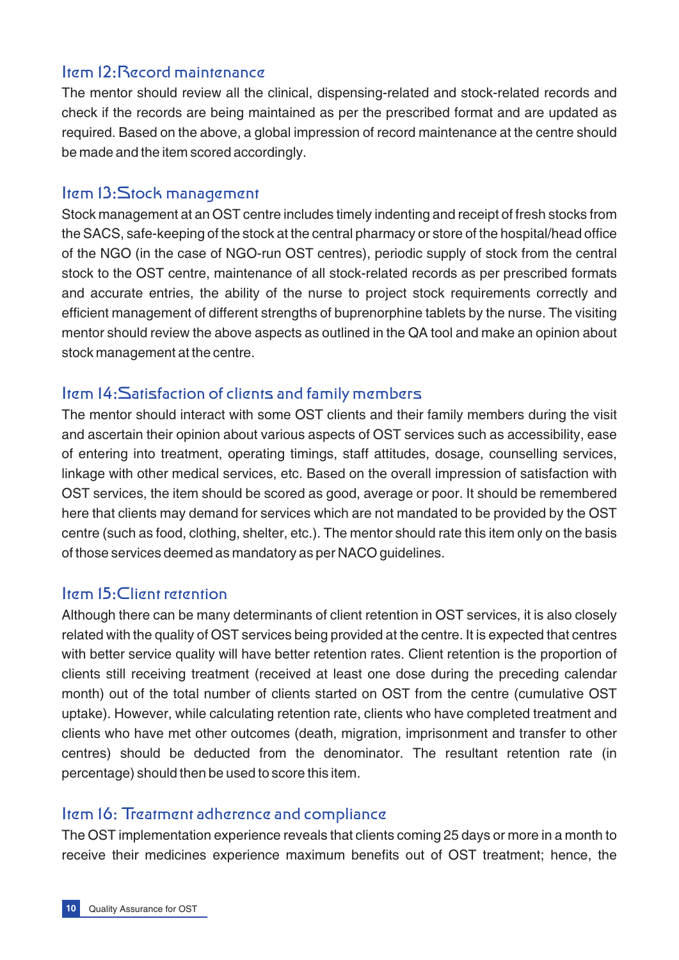### Item 12:Record maintenance

The mentor should review all the clinical, dispensing-related and stock-related records and check if the records are being maintained as per the prescribed format and are updated as required. Based on the above, a global impression of record maintenance at the centre should be made and the item scored accordingly.

### Item 13:Stock management

Stock management at an OST centre includes timely indenting and receipt of fresh stocks from the SACS, safe-keeping of the stock at the central pharmacy or store of the hospital/head office of the NGO (in the case of NGO-run OST centres), periodic supply of stock from the central stock to the OST centre, maintenance of all stock-related records as per prescribed formats and accurate entries, the ability of the nurse to project stock requirements correctly and efficient management of different strengths of buprenorphine tablets by the nurse. The visiting mentor should review the above aspects as outlined in the QA tool and make an opinion about stock management at the centre.

# Item 14:Satisfaction of clients and family members

The mentor should interact with some OST clients and their family members during the visit and ascertain their opinion about various aspects of OST services such as accessibility, ease of entering into treatment, operating timings, staff attitudes, dosage, counselling services, linkage with other medical services, etc. Based on the overall impression of satisfaction with OST services, the item should be scored as good, average or poor. It should be remembered here that clients may demand for services which are not mandated to be provided by the OST centre (such as food, clothing, shelter, etc.). The mentor should rate this item only on the basis of those services deemed as mandatory as per NACO guidelines.

# Item 15:Client retention

Although there can be many determinants of client retention in OST services, it is also closely related with the quality of OST services being provided at the centre. It is expected that centres with better service quality will have better retention rates. Client retention is the proportion of clients still receiving treatment (received at least one dose during the preceding calendar month) out of the total number of clients started on OST from the centre (cumulative OST uptake). However, while calculating retention rate, clients who have completed treatment and clients who have met other outcomes (death, migration, imprisonment and transfer to other centres) should be deducted from the denominator. The resultant retention rate (in percentage) should then be used to score this item.

# Item 16: Treatment adherence and compliance

The OST implementation experience reveals that clients coming 25 days or more in a month to receive their medicines experience maximum benefits out of OST treatment; hence, the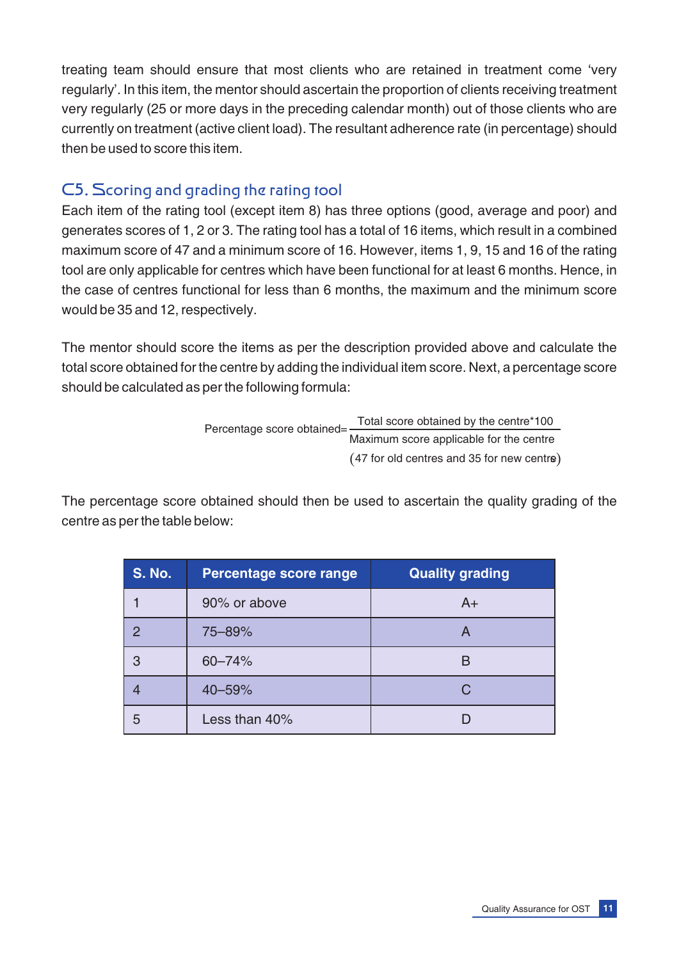treating team should ensure that most clients who are retained in treatment come 'very regularly'. In this item, the mentor should ascertain the proportion of clients receiving treatment very regularly (25 or more days in the preceding calendar month) out of those clients who are currently on treatment (active client load). The resultant adherence rate (in percentage) should then be used to score this item.

# C5. Scoring and grading the rating tool

Each item of the rating tool (except item 8) has three options (good, average and poor) and generates scores of 1, 2 or 3. The rating tool has a total of 16 items, which result in a combined maximum score of 47 and a minimum score of 16. However, items 1, 9, 15 and 16 of the rating tool are only applicable for centres which have been functional for at least 6 months. Hence, in the case of centres functional for less than 6 months, the maximum and the minimum score would be 35 and 12, respectively.

The mentor should score the items as per the description provided above and calculate the total score obtained for the centre by adding the individual item score. Next, a percentage score should be calculated as per the following formula:

> $(47$  for old centres and 35 for new centre) Percentage score obtained= Total score obtained by the centre\*100 Maximum score applicable for the centre

The percentage score obtained should then be used to ascertain the quality grading of the centre as per the table below:

| <b>S. No.</b> | <b>Percentage score range</b> | <b>Quality grading</b> |
|---------------|-------------------------------|------------------------|
|               | 90% or above                  | $A+$                   |
|               | 75-89%                        | A                      |
| З             | $60 - 74%$                    |                        |
|               | 40-59%                        |                        |
| 5             | Less than 40%                 |                        |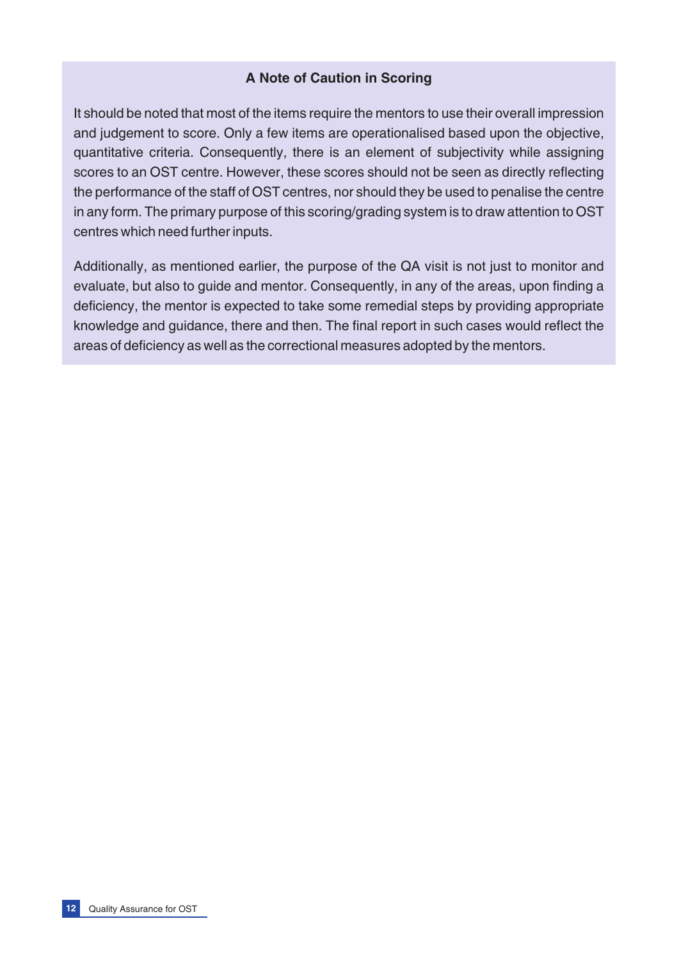#### **A Note of Caution in Scoring**

It should be noted that most of the items require the mentors to use their overall impression and judgement to score. Only a few items are operationalised based upon the objective, quantitative criteria. Consequently, there is an element of subjectivity while assigning scores to an OST centre. However, these scores should not be seen as directly reflecting the performance of the staff of OST centres, nor should they be used to penalise the centre in any form. The primary purpose of this scoring/grading system is to draw attention to OST centres which need further inputs.

Additionally, as mentioned earlier, the purpose of the QA visit is not just to monitor and evaluate, but also to guide and mentor. Consequently, in any of the areas, upon finding a deficiency, the mentor is expected to take some remedial steps by providing appropriate knowledge and guidance, there and then. The final report in such cases would reflect the areas of deficiency as well as the correctional measures adopted by the mentors.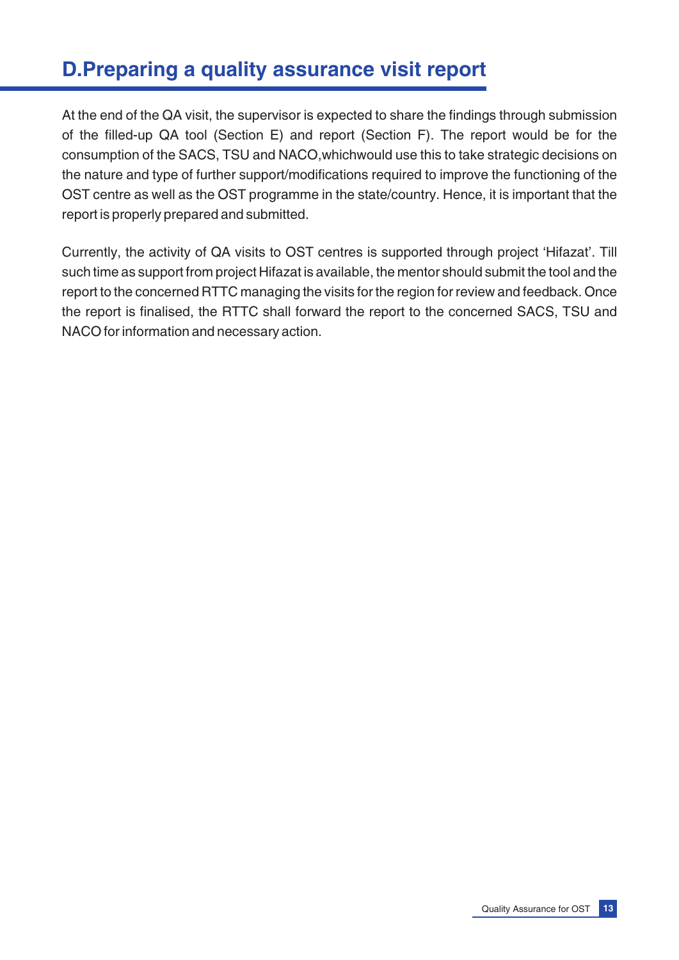# **D.Preparing a quality assurance visit report**

At the end of the QA visit, the supervisor is expected to share the findings through submission of the filled-up QA tool (Section E) and report (Section F). The report would be for the consumption of the SACS, TSU and NACO,whichwould use this to take strategic decisions on the nature and type of further support/modifications required to improve the functioning of the OST centre as well as the OST programme in the state/country. Hence, it is important that the report is properly prepared and submitted.

Currently, the activity of QA visits to OST centres is supported through project 'Hifazat'. Till such time as support from project Hifazat is available, the mentor should submit the tool and the report to the concerned RTTC managing the visits for the region for review and feedback. Once the report is finalised, the RTTC shall forward the report to the concerned SACS, TSU and NACO for information and necessary action.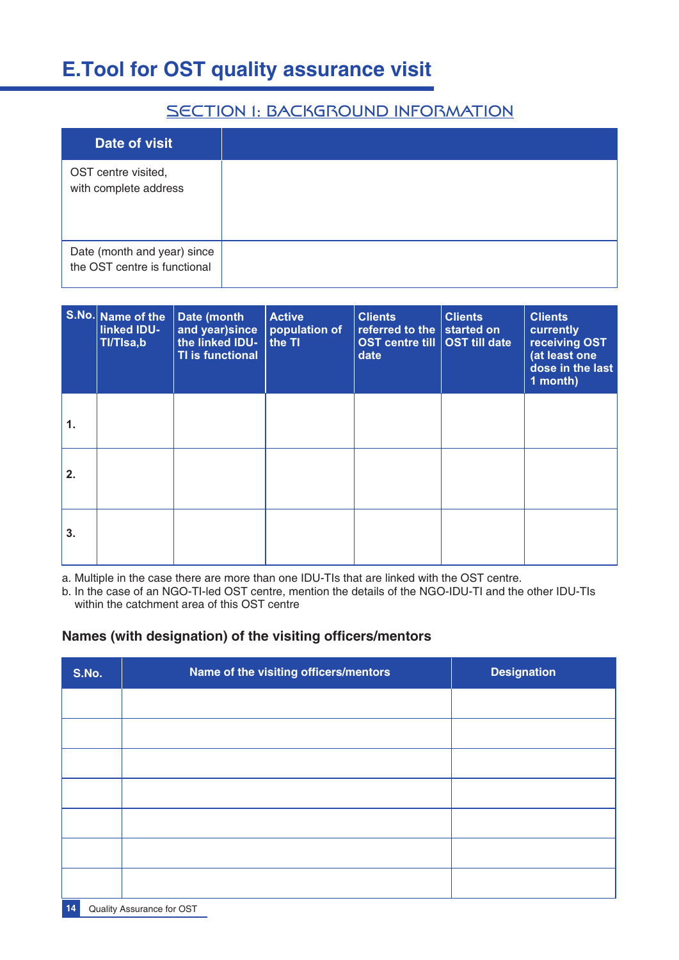# **E.Tool for OST quality assurance visit**

# SECTION 1: BACKGROUND INFORMATION

| <b>Date of visit</b>                                        |
|-------------------------------------------------------------|
| OST centre visited,<br>with complete address                |
| Date (month and year) since<br>the OST centre is functional |

|    | S.No. Name of the<br>linked IDU-<br>TI/TIsa,b | Date (month<br>and year) since<br>the linked IDU-<br><b>TI is functional</b> | <b>Active</b><br>population of<br>the TI | <b>Clients</b><br>referred to the $ $ started on<br>OST centre till   OST till date<br>date | <b>Clients</b> | <b>Clients</b><br>currently<br>receiving OST<br>(at least one<br>dose in the last<br>$1$ month) |
|----|-----------------------------------------------|------------------------------------------------------------------------------|------------------------------------------|---------------------------------------------------------------------------------------------|----------------|-------------------------------------------------------------------------------------------------|
| 1. |                                               |                                                                              |                                          |                                                                                             |                |                                                                                                 |
| 2. |                                               |                                                                              |                                          |                                                                                             |                |                                                                                                 |
| 3. |                                               |                                                                              |                                          |                                                                                             |                |                                                                                                 |

a. Multiple in the case there are more than one IDU-TIs that are linked with the OST centre.

b. In the case of an NGO-TI-led OST centre, mention the details of the NGO-IDU-TI and the other IDU-TIs within the catchment area of this OST centre

#### **Names (with designation) of the visiting officers/mentors**

| S.No. | Name of the visiting officers/mentors | <b>Designation</b> |
|-------|---------------------------------------|--------------------|
|       |                                       |                    |
|       |                                       |                    |
|       |                                       |                    |
|       |                                       |                    |
|       |                                       |                    |
|       |                                       |                    |
|       |                                       |                    |

**14** Quality Assurance for OST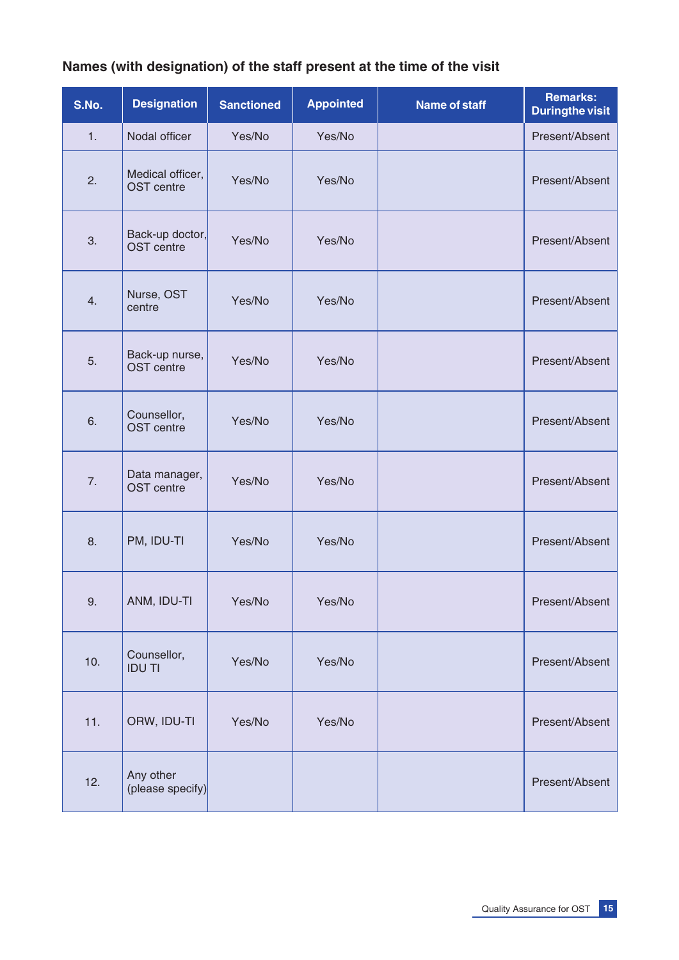# **Names (with designation) of the staff present at the time of the visit**

| S.No. | <b>Designation</b>                    | <b>Sanctioned</b> | <b>Appointed</b> | <b>Name of staff</b> | <b>Remarks:</b><br><b>Duringthe visit</b> |
|-------|---------------------------------------|-------------------|------------------|----------------------|-------------------------------------------|
| 1.    | Nodal officer                         | Yes/No            | Yes/No           |                      | Present/Absent                            |
| 2.    | Medical officer,<br><b>OST</b> centre | Yes/No            | Yes/No           |                      | Present/Absent                            |
| 3.    | Back-up doctor,<br><b>OST</b> centre  | Yes/No            | Yes/No           |                      | Present/Absent                            |
| 4.    | Nurse, OST<br>centre                  | Yes/No            | Yes/No           |                      | Present/Absent                            |
| 5.    | Back-up nurse,<br><b>OST</b> centre   | Yes/No            | Yes/No           |                      | Present/Absent                            |
| 6.    | Counsellor,<br><b>OST</b> centre      | Yes/No            | Yes/No           |                      | Present/Absent                            |
| 7.    | Data manager,<br><b>OST</b> centre    | Yes/No            | Yes/No           |                      | Present/Absent                            |
| 8.    | PM, IDU-TI                            | Yes/No            | Yes/No           |                      | Present/Absent                            |
| 9.    | ANM, IDU-TI                           | Yes/No            | Yes/No           |                      | Present/Absent                            |
| 10.   | Counsellor,<br><b>IDU TI</b>          | Yes/No            | Yes/No           |                      | Present/Absent                            |
| 11.   | ORW, IDU-TI                           | Yes/No            | Yes/No           |                      | Present/Absent                            |
| 12.   | Any other<br>(please specify)         |                   |                  |                      | Present/Absent                            |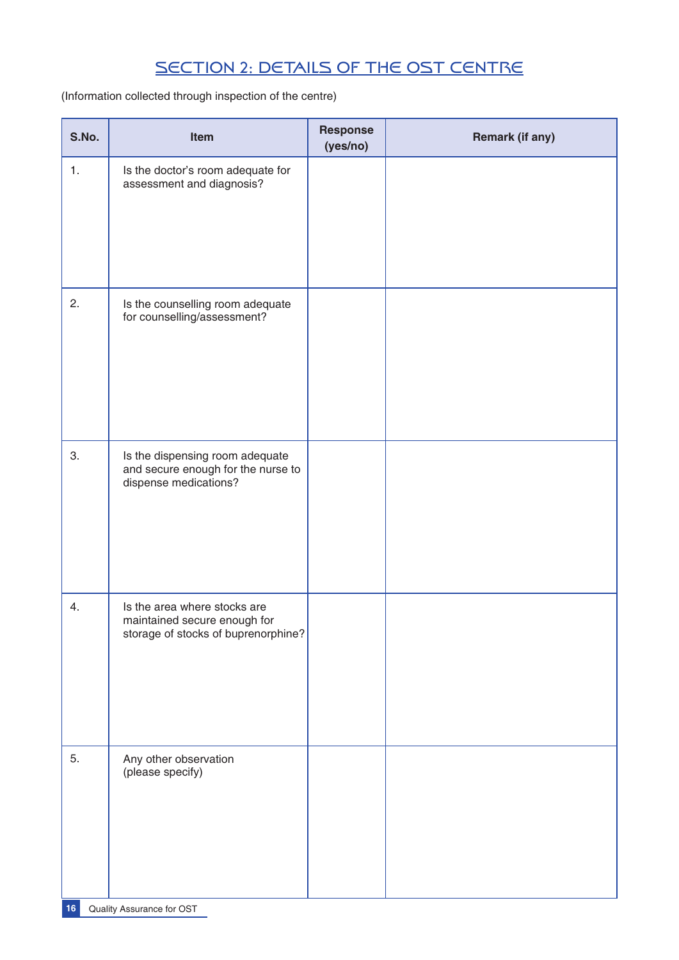# SECTION 2: DETAILS OF THE OST CENTRE

(Information collected through inspection of the centre)

| S.No. | Item                                                                                                | <b>Response</b><br>(yes/no) | <b>Remark (if any)</b> |
|-------|-----------------------------------------------------------------------------------------------------|-----------------------------|------------------------|
| 1.    | Is the doctor's room adequate for<br>assessment and diagnosis?                                      |                             |                        |
| 2.    | Is the counselling room adequate<br>for counselling/assessment?                                     |                             |                        |
| 3.    | Is the dispensing room adequate<br>and secure enough for the nurse to<br>dispense medications?      |                             |                        |
| 4.    | Is the area where stocks are<br>maintained secure enough for<br>storage of stocks of buprenorphine? |                             |                        |
| 5.    | Any other observation<br>(please specify)                                                           |                             |                        |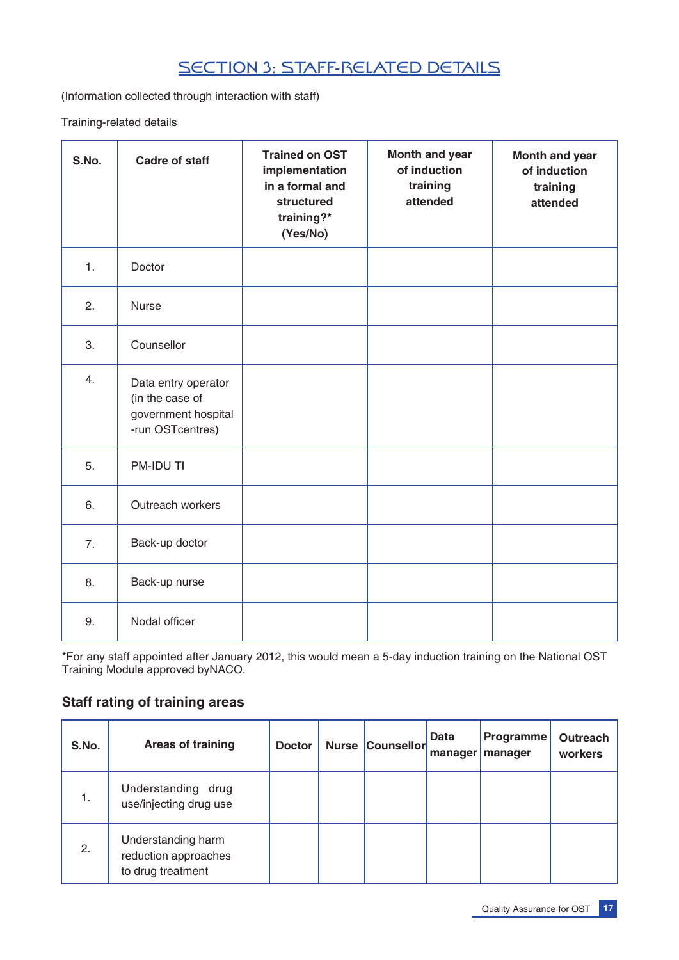# SECTION 3: STAFF-RELATED DETAILS

(Information collected through interaction with staff)

Training-related details

| S.No. | <b>Cadre of staff</b>                                                             | <b>Trained on OST</b><br>implementation<br>in a formal and<br>structured<br>training?*<br>(Yes/No) | Month and year<br>of induction<br>training<br>attended | Month and year<br>of induction<br>training<br>attended |
|-------|-----------------------------------------------------------------------------------|----------------------------------------------------------------------------------------------------|--------------------------------------------------------|--------------------------------------------------------|
| 1.    | Doctor                                                                            |                                                                                                    |                                                        |                                                        |
| 2.    | <b>Nurse</b>                                                                      |                                                                                                    |                                                        |                                                        |
| 3.    | Counsellor                                                                        |                                                                                                    |                                                        |                                                        |
| 4.    | Data entry operator<br>(in the case of<br>government hospital<br>-run OSTcentres) |                                                                                                    |                                                        |                                                        |
| 5.    | PM-IDU TI                                                                         |                                                                                                    |                                                        |                                                        |
| 6.    | Outreach workers                                                                  |                                                                                                    |                                                        |                                                        |
| 7.    | Back-up doctor                                                                    |                                                                                                    |                                                        |                                                        |
| 8.    | Back-up nurse                                                                     |                                                                                                    |                                                        |                                                        |
| 9.    | Nodal officer                                                                     |                                                                                                    |                                                        |                                                        |

\*For any staff appointed after January 2012, this would mean a 5-day induction training on the National OST Training Module approved byNACO.

#### **Staff rating of training areas**

| S.No. | Areas of training                                               | <b>Doctor</b> | <b>Nurse Counsellor</b> | <b>Data</b><br>manager | <b>Programme</b><br>manager | Outreach<br>workers |
|-------|-----------------------------------------------------------------|---------------|-------------------------|------------------------|-----------------------------|---------------------|
| 1.    | Understanding drug<br>use/injecting drug use                    |               |                         |                        |                             |                     |
| 2.    | Understanding harm<br>reduction approaches<br>to drug treatment |               |                         |                        |                             |                     |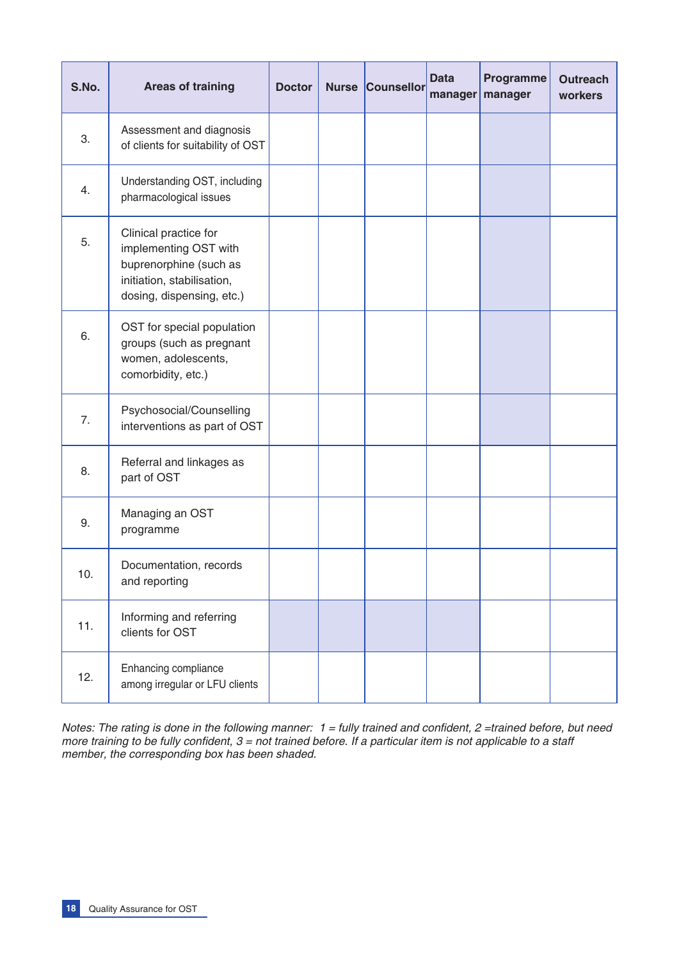| S.No. | <b>Areas of training</b>                                                                                                            | <b>Doctor</b> | <b>Nurse</b> | Counsellor | <b>Data</b><br>manager | Programme<br>manager | <b>Outreach</b><br>workers |
|-------|-------------------------------------------------------------------------------------------------------------------------------------|---------------|--------------|------------|------------------------|----------------------|----------------------------|
| 3.    | Assessment and diagnosis<br>of clients for suitability of OST                                                                       |               |              |            |                        |                      |                            |
| 4.    | Understanding OST, including<br>pharmacological issues                                                                              |               |              |            |                        |                      |                            |
| 5.    | Clinical practice for<br>implementing OST with<br>buprenorphine (such as<br>initiation, stabilisation,<br>dosing, dispensing, etc.) |               |              |            |                        |                      |                            |
| 6.    | OST for special population<br>groups (such as pregnant<br>women, adolescents,<br>comorbidity, etc.)                                 |               |              |            |                        |                      |                            |
| 7.    | Psychosocial/Counselling<br>interventions as part of OST                                                                            |               |              |            |                        |                      |                            |
| 8.    | Referral and linkages as<br>part of OST                                                                                             |               |              |            |                        |                      |                            |
| 9.    | Managing an OST<br>programme                                                                                                        |               |              |            |                        |                      |                            |
| 10.   | Documentation, records<br>and reporting                                                                                             |               |              |            |                        |                      |                            |
| 11.   | Informing and referring<br>clients for OST                                                                                          |               |              |            |                        |                      |                            |
| 12.   | Enhancing compliance<br>among irregular or LFU clients                                                                              |               |              |            |                        |                      |                            |

*Notes: The rating is done in the following manner: 1 = fully trained and confident, 2 =trained before, but need more training to be fully confident, 3 = not trained before. If a particular item is not applicable to a staff member, the corresponding box has been shaded.*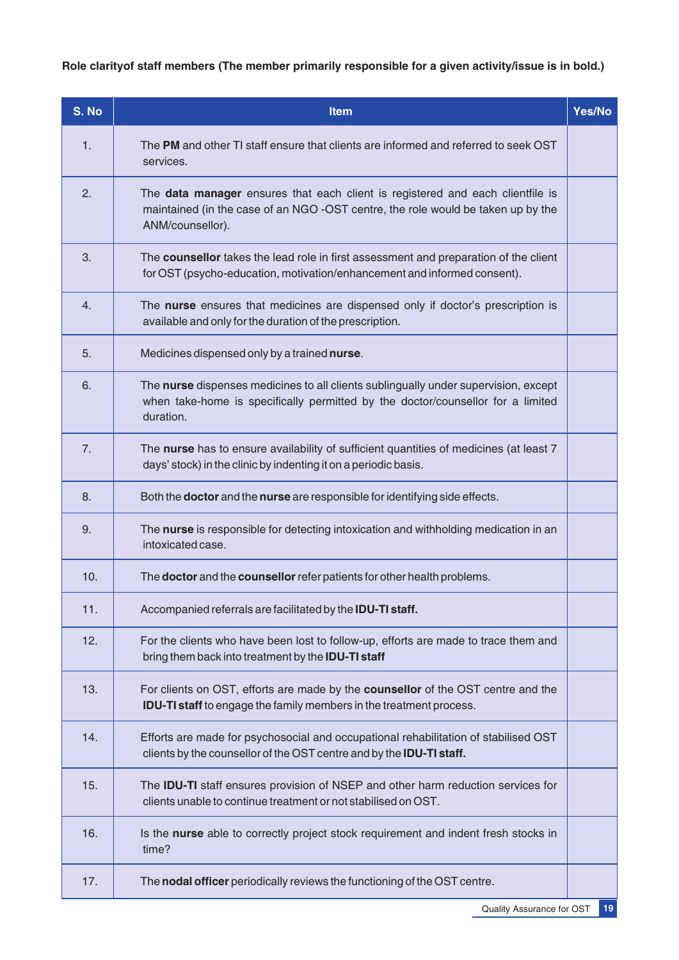**Role clarityof staff members (The member primarily responsible for a given activity/issue is in bold.)**

| S. No | Item                                                                                                                                                                                   | Yes/No |
|-------|----------------------------------------------------------------------------------------------------------------------------------------------------------------------------------------|--------|
| 1.    | The PM and other TI staff ensure that clients are informed and referred to seek OST<br>services.                                                                                       |        |
| 2.    | The data manager ensures that each client is registered and each clientfile is<br>maintained (in the case of an NGO -OST centre, the role would be taken up by the<br>ANM/counsellor). |        |
| 3.    | The counsellor takes the lead role in first assessment and preparation of the client<br>for OST (psycho-education, motivation/enhancement and informed consent).                       |        |
| 4.    | The nurse ensures that medicines are dispensed only if doctor's prescription is<br>available and only for the duration of the prescription.                                            |        |
| 5.    | Medicines dispensed only by a trained nurse.                                                                                                                                           |        |
| 6.    | The nurse dispenses medicines to all clients sublingually under supervision, except<br>when take-home is specifically permitted by the doctor/counsellor for a limited<br>duration.    |        |
| 7.    | The nurse has to ensure availability of sufficient quantities of medicines (at least 7<br>days' stock) in the clinic by indenting it on a periodic basis.                              |        |
| 8.    | Both the <b>doctor</b> and the nurse are responsible for identifying side effects.                                                                                                     |        |
| 9.    | The nurse is responsible for detecting intoxication and withholding medication in an<br>intoxicated case.                                                                              |        |
| 10.   | The doctor and the counsellor refer patients for other health problems.                                                                                                                |        |
| 11.   | Accompanied referrals are facilitated by the IDU-TI staff.                                                                                                                             |        |
| 12.   | For the clients who have been lost to follow-up, efforts are made to trace them and<br>bring them back into treatment by the <b>IDU-TI staff</b>                                       |        |
| 13.   | For clients on OST, efforts are made by the counsellor of the OST centre and the<br><b>IDU-TI staff</b> to engage the family members in the treatment process.                         |        |
| 14.   | Efforts are made for psychosocial and occupational rehabilitation of stabilised OST<br>clients by the counsellor of the OST centre and by the <b>IDU-TI staff.</b>                     |        |
| 15.   | The IDU-TI staff ensures provision of NSEP and other harm reduction services for<br>clients unable to continue treatment or not stabilised on OST.                                     |        |
| 16.   | Is the nurse able to correctly project stock requirement and indent fresh stocks in<br>time?                                                                                           |        |
| 17.   | The nodal officer periodically reviews the functioning of the OST centre.                                                                                                              |        |

Quality Assurance for OST **19**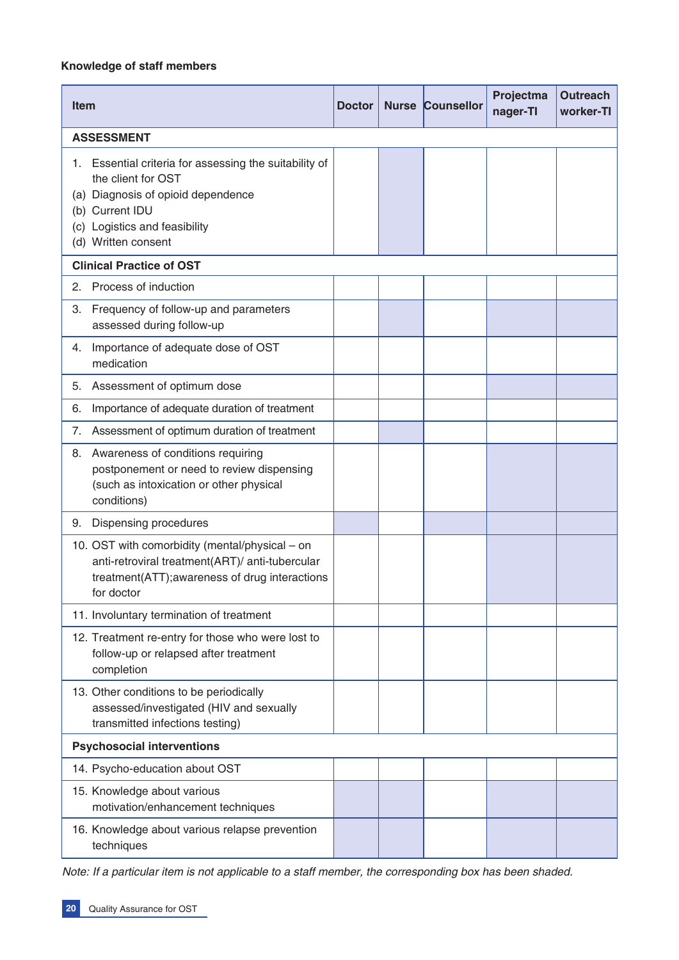#### **Knowledge of staff members**

| <b>Item</b>                                                                                                                                                                                      | <b>Doctor</b> | <b>Nurse Counsellor</b> | Projectma<br>nager-TI | <b>Outreach</b><br>worker-TI |
|--------------------------------------------------------------------------------------------------------------------------------------------------------------------------------------------------|---------------|-------------------------|-----------------------|------------------------------|
| <b>ASSESSMENT</b>                                                                                                                                                                                |               |                         |                       |                              |
| Essential criteria for assessing the suitability of<br>1.<br>the client for OST<br>(a) Diagnosis of opioid dependence<br>(b) Current IDU<br>(c) Logistics and feasibility<br>(d) Written consent |               |                         |                       |                              |
| <b>Clinical Practice of OST</b>                                                                                                                                                                  |               |                         |                       |                              |
| Process of induction<br>2.                                                                                                                                                                       |               |                         |                       |                              |
| Frequency of follow-up and parameters<br>3.<br>assessed during follow-up                                                                                                                         |               |                         |                       |                              |
| Importance of adequate dose of OST<br>4.<br>medication                                                                                                                                           |               |                         |                       |                              |
| Assessment of optimum dose<br>5.                                                                                                                                                                 |               |                         |                       |                              |
| Importance of adequate duration of treatment<br>6.                                                                                                                                               |               |                         |                       |                              |
| Assessment of optimum duration of treatment<br>7.                                                                                                                                                |               |                         |                       |                              |
| Awareness of conditions requiring<br>8.<br>postponement or need to review dispensing<br>(such as intoxication or other physical<br>conditions)                                                   |               |                         |                       |                              |
| Dispensing procedures<br>9.                                                                                                                                                                      |               |                         |                       |                              |
| 10. OST with comorbidity (mental/physical – on<br>anti-retroviral treatment(ART)/ anti-tubercular<br>treatment(ATT); awareness of drug interactions<br>for doctor                                |               |                         |                       |                              |
| 11. Involuntary termination of treatment                                                                                                                                                         |               |                         |                       |                              |
| 12. Treatment re-entry for those who were lost to<br>follow-up or relapsed after treatment<br>completion                                                                                         |               |                         |                       |                              |
| 13. Other conditions to be periodically<br>assessed/investigated (HIV and sexually<br>transmitted infections testing)                                                                            |               |                         |                       |                              |
| <b>Psychosocial interventions</b>                                                                                                                                                                |               |                         |                       |                              |
| 14. Psycho-education about OST                                                                                                                                                                   |               |                         |                       |                              |
| 15. Knowledge about various<br>motivation/enhancement techniques                                                                                                                                 |               |                         |                       |                              |
| 16. Knowledge about various relapse prevention<br>techniques                                                                                                                                     |               |                         |                       |                              |

*Note: If a particular item is not applicable to a staff member, the corresponding box has been shaded.*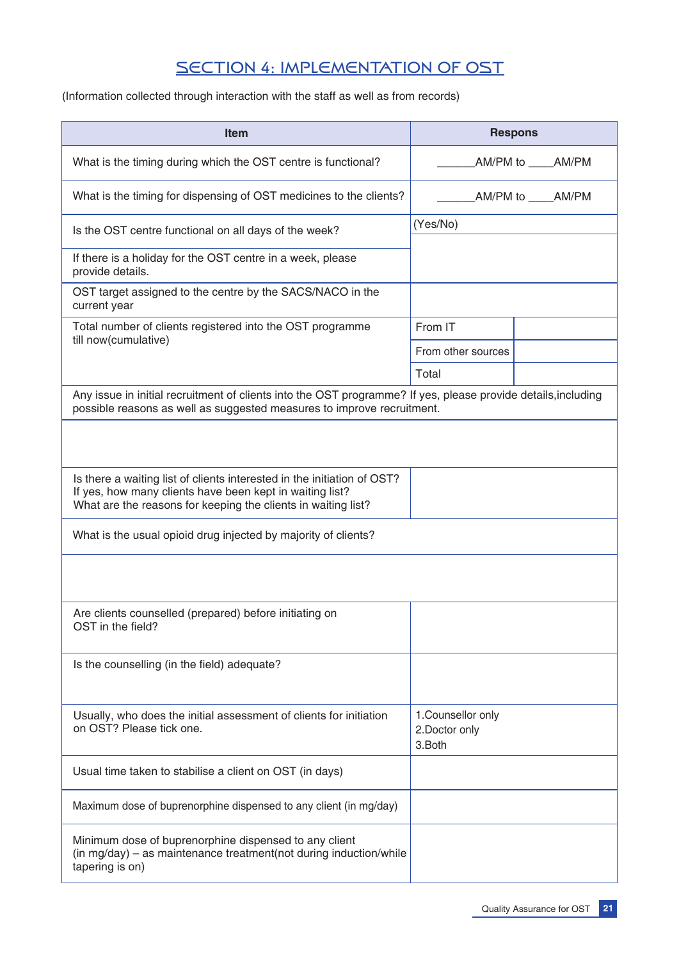# SECTION 4: IMPLEMENTATION OF OST

(Information collected through interaction with the staff as well as from records)

| Item                                                                                                                                                                                    | <b>Respons</b>                                 |                |
|-----------------------------------------------------------------------------------------------------------------------------------------------------------------------------------------|------------------------------------------------|----------------|
| What is the timing during which the OST centre is functional?                                                                                                                           | AM/PM to _____AM/PM                            |                |
| What is the timing for dispensing of OST medicines to the clients?                                                                                                                      |                                                | AM/PM to AM/PM |
| Is the OST centre functional on all days of the week?                                                                                                                                   | (Yes/No)                                       |                |
| If there is a holiday for the OST centre in a week, please<br>provide details.                                                                                                          |                                                |                |
| OST target assigned to the centre by the SACS/NACO in the<br>current year                                                                                                               |                                                |                |
| Total number of clients registered into the OST programme                                                                                                                               | From IT                                        |                |
| till now(cumulative)                                                                                                                                                                    | From other sources                             |                |
|                                                                                                                                                                                         | Total                                          |                |
| Any issue in initial recruitment of clients into the OST programme? If yes, please provide details, including<br>possible reasons as well as suggested measures to improve recruitment. |                                                |                |
| Is there a waiting list of clients interested in the initiation of OST?<br>If yes, how many clients have been kept in waiting list?                                                     |                                                |                |
| What are the reasons for keeping the clients in waiting list?                                                                                                                           |                                                |                |
| What is the usual opioid drug injected by majority of clients?                                                                                                                          |                                                |                |
| Are clients counselled (prepared) before initiating on<br>OST in the field?                                                                                                             |                                                |                |
| Is the counselling (in the field) adequate?                                                                                                                                             |                                                |                |
| Usually, who does the initial assessment of clients for initiation<br>on OST? Please tick one.                                                                                          | 1. Counsellor only<br>2. Doctor only<br>3.Both |                |
| Usual time taken to stabilise a client on OST (in days)                                                                                                                                 |                                                |                |
| Maximum dose of buprenorphine dispensed to any client (in mg/day)                                                                                                                       |                                                |                |
| Minimum dose of buprenorphine dispensed to any client<br>(in mg/day) – as maintenance treatment(not during induction/while<br>tapering is on)                                           |                                                |                |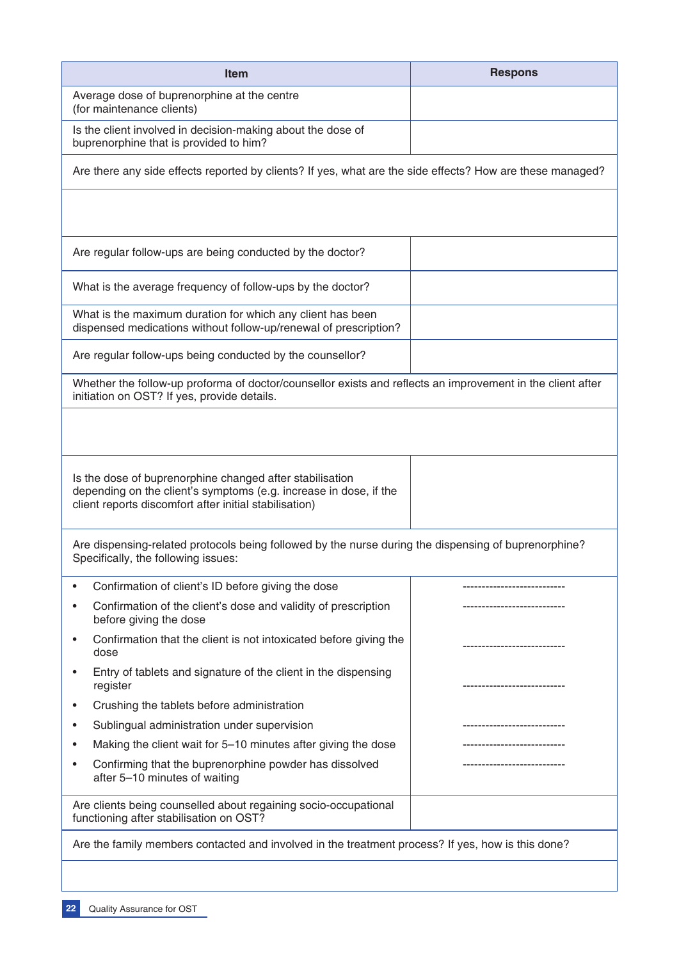| <b>Item</b>                                                                                                                                                                             | <b>Respons</b>     |
|-----------------------------------------------------------------------------------------------------------------------------------------------------------------------------------------|--------------------|
| Average dose of buprenorphine at the centre<br>(for maintenance clients)                                                                                                                |                    |
| Is the client involved in decision-making about the dose of<br>buprenorphine that is provided to him?                                                                                   |                    |
| Are there any side effects reported by clients? If yes, what are the side effects? How are these managed?                                                                               |                    |
|                                                                                                                                                                                         |                    |
| Are regular follow-ups are being conducted by the doctor?                                                                                                                               |                    |
| What is the average frequency of follow-ups by the doctor?                                                                                                                              |                    |
| What is the maximum duration for which any client has been<br>dispensed medications without follow-up/renewal of prescription?                                                          |                    |
| Are regular follow-ups being conducted by the counsellor?                                                                                                                               |                    |
| Whether the follow-up proforma of doctor/counsellor exists and reflects an improvement in the client after<br>initiation on OST? If yes, provide details.                               |                    |
|                                                                                                                                                                                         |                    |
|                                                                                                                                                                                         |                    |
| Is the dose of buprenorphine changed after stabilisation<br>depending on the client's symptoms (e.g. increase in dose, if the<br>client reports discomfort after initial stabilisation) |                    |
| Are dispensing-related protocols being followed by the nurse during the dispensing of buprenorphine?<br>Specifically, the following issues:                                             |                    |
| Confirmation of client's ID before giving the dose                                                                                                                                      | ------------------ |
| Confirmation of the client's dose and validity of prescription<br>before giving the dose                                                                                                |                    |
| Confirmation that the client is not intoxicated before giving the<br>dose                                                                                                               |                    |
| Entry of tablets and signature of the client in the dispensing<br>register                                                                                                              |                    |
| Crushing the tablets before administration<br>$\bullet$                                                                                                                                 |                    |
| Sublingual administration under supervision                                                                                                                                             |                    |
| Making the client wait for 5-10 minutes after giving the dose                                                                                                                           |                    |
| Confirming that the buprenorphine powder has dissolved<br>after 5-10 minutes of waiting                                                                                                 |                    |
| Are clients being counselled about regaining socio-occupational<br>functioning after stabilisation on OST?                                                                              |                    |
| Are the family members contacted and involved in the treatment process? If yes, how is this done?                                                                                       |                    |
|                                                                                                                                                                                         |                    |
|                                                                                                                                                                                         |                    |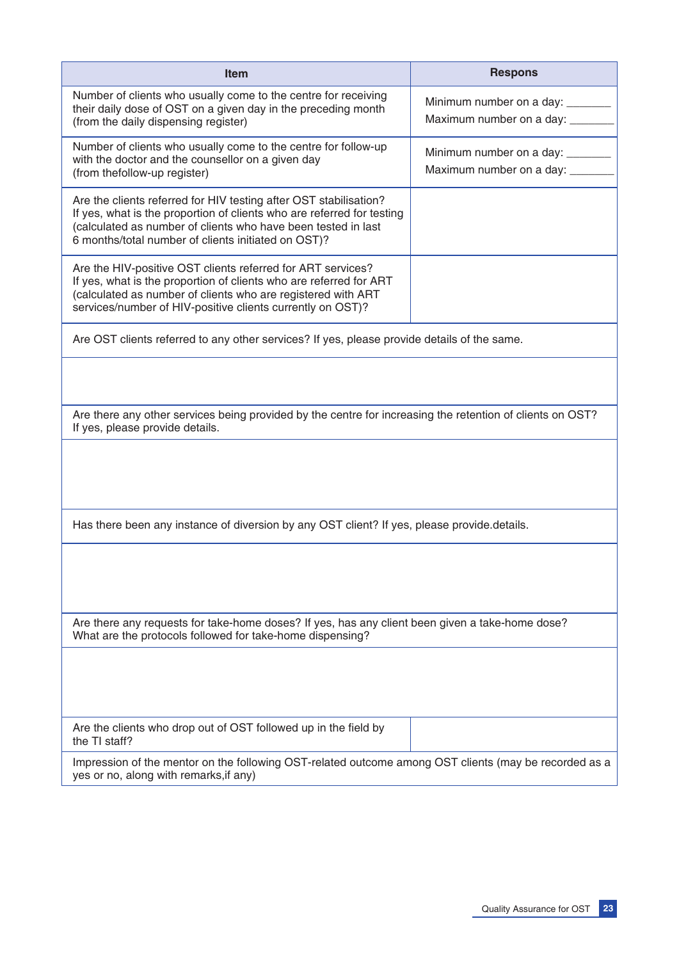| <b>Item</b>                                                                                                                                                                                                                                                         | <b>Respons</b>                                                    |  |  |
|---------------------------------------------------------------------------------------------------------------------------------------------------------------------------------------------------------------------------------------------------------------------|-------------------------------------------------------------------|--|--|
| Number of clients who usually come to the centre for receiving<br>their daily dose of OST on a given day in the preceding month<br>(from the daily dispensing register)                                                                                             | Minimum number on a day:<br>Maximum number on a day: _____        |  |  |
| Number of clients who usually come to the centre for follow-up<br>with the doctor and the counsellor on a given day<br>(from thefollow-up register)                                                                                                                 | Minimum number on a day: ______<br>Maximum number on a day: _____ |  |  |
| Are the clients referred for HIV testing after OST stabilisation?<br>If yes, what is the proportion of clients who are referred for testing<br>(calculated as number of clients who have been tested in last<br>6 months/total number of clients initiated on OST)? |                                                                   |  |  |
| Are the HIV-positive OST clients referred for ART services?<br>If yes, what is the proportion of clients who are referred for ART<br>(calculated as number of clients who are registered with ART<br>services/number of HIV-positive clients currently on OST)?     |                                                                   |  |  |
| Are OST clients referred to any other services? If yes, please provide details of the same.                                                                                                                                                                         |                                                                   |  |  |
| Are there any other services being provided by the centre for increasing the retention of clients on OST?<br>If yes, please provide details.                                                                                                                        |                                                                   |  |  |
|                                                                                                                                                                                                                                                                     |                                                                   |  |  |
| Has there been any instance of diversion by any OST client? If yes, please provide.details.                                                                                                                                                                         |                                                                   |  |  |
|                                                                                                                                                                                                                                                                     |                                                                   |  |  |
| Are there any requests for take-home doses? If yes, has any client been given a take-home dose?<br>What are the protocols followed for take-home dispensing?                                                                                                        |                                                                   |  |  |
|                                                                                                                                                                                                                                                                     |                                                                   |  |  |
| Are the clients who drop out of OST followed up in the field by<br>the TI staff?                                                                                                                                                                                    |                                                                   |  |  |
| Impression of the mentor on the following OST-related outcome among OST clients (may be recorded as a<br>yes or no, along with remarks, if any)                                                                                                                     |                                                                   |  |  |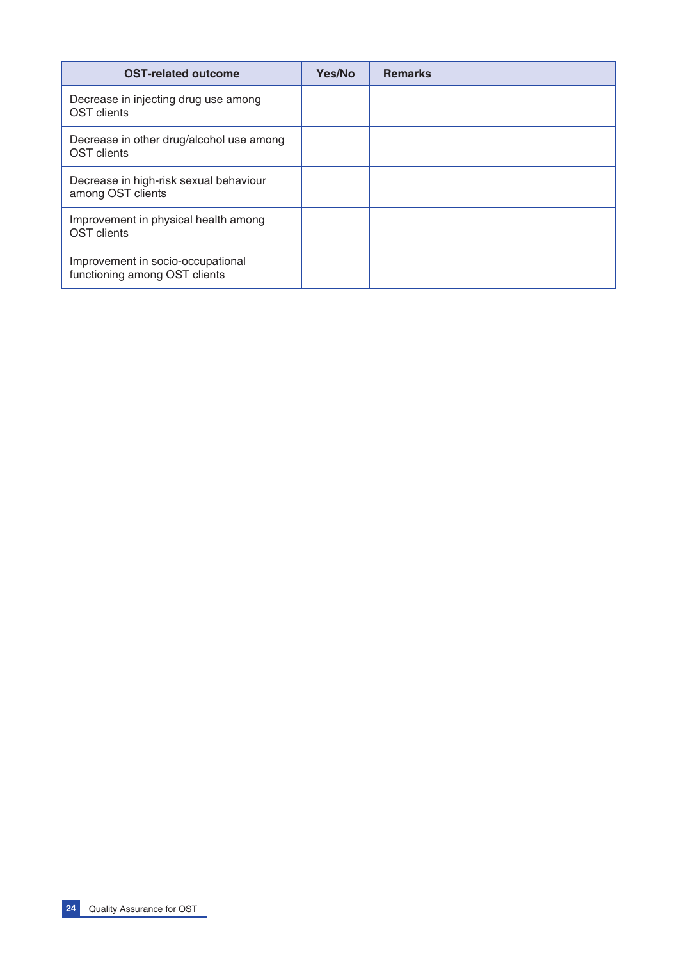| <b>OST-related outcome</b>                                         | Yes/No | <b>Remarks</b> |
|--------------------------------------------------------------------|--------|----------------|
| Decrease in injecting drug use among<br>OST clients                |        |                |
| Decrease in other drug/alcohol use among<br><b>OST</b> clients     |        |                |
| Decrease in high-risk sexual behaviour<br>among OST clients        |        |                |
| Improvement in physical health among<br><b>OST</b> clients         |        |                |
| Improvement in socio-occupational<br>functioning among OST clients |        |                |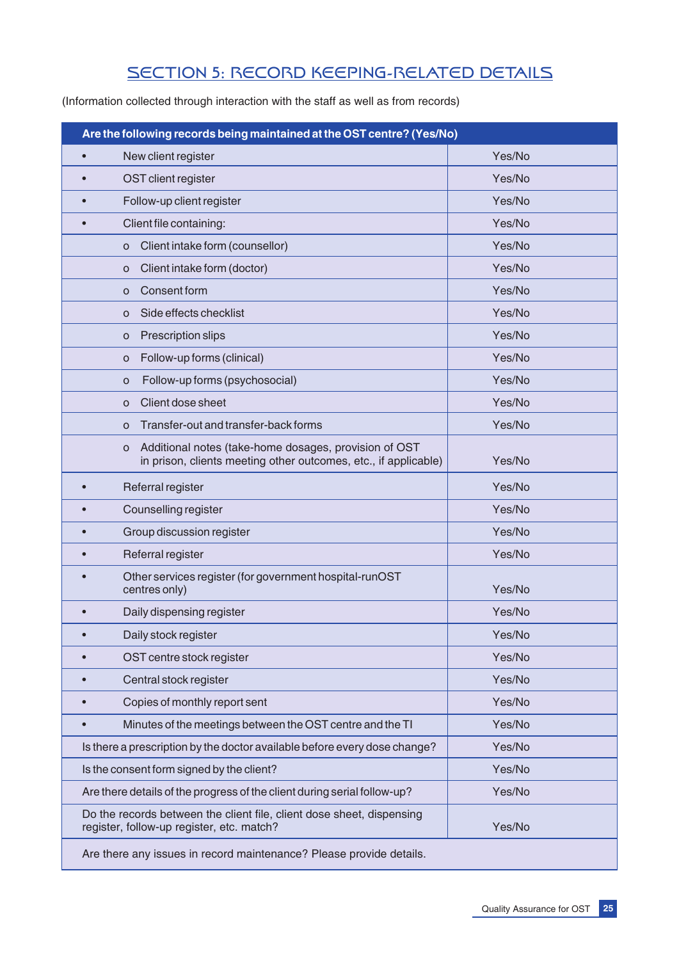# SECTION 5: RECORD KEEPING-RELATED DETAILS

(Information collected through interaction with the staff as well as from records)

| Are the following records being maintained at the OST centre? (Yes/No)                                                        |        |  |  |  |  |
|-------------------------------------------------------------------------------------------------------------------------------|--------|--|--|--|--|
| New client register                                                                                                           | Yes/No |  |  |  |  |
| Yes/No<br>OST client register                                                                                                 |        |  |  |  |  |
| Follow-up client register                                                                                                     | Yes/No |  |  |  |  |
| Client file containing:                                                                                                       | Yes/No |  |  |  |  |
| Client intake form (counsellor)<br>O                                                                                          | Yes/No |  |  |  |  |
| Client intake form (doctor)<br>o                                                                                              | Yes/No |  |  |  |  |
| Consent form<br>O                                                                                                             | Yes/No |  |  |  |  |
| Side effects checklist<br>O                                                                                                   | Yes/No |  |  |  |  |
| Prescription slips<br>o                                                                                                       | Yes/No |  |  |  |  |
| Follow-up forms (clinical)<br>o                                                                                               | Yes/No |  |  |  |  |
| Follow-up forms (psychosocial)<br>o                                                                                           | Yes/No |  |  |  |  |
| Client dose sheet<br>O                                                                                                        | Yes/No |  |  |  |  |
| Transfer-out and transfer-back forms<br>O                                                                                     | Yes/No |  |  |  |  |
| Additional notes (take-home dosages, provision of OST<br>O<br>in prison, clients meeting other outcomes, etc., if applicable) | Yes/No |  |  |  |  |
| Yes/No<br>Referral register                                                                                                   |        |  |  |  |  |
| Counselling register                                                                                                          | Yes/No |  |  |  |  |
| Yes/No<br>Group discussion register                                                                                           |        |  |  |  |  |
| Referral register                                                                                                             | Yes/No |  |  |  |  |
| Other services register (for government hospital-runOST<br>centres only)                                                      | Yes/No |  |  |  |  |
| Daily dispensing register                                                                                                     | Yes/No |  |  |  |  |
| Daily stock register                                                                                                          | Yes/No |  |  |  |  |
| OST centre stock register                                                                                                     | Yes/No |  |  |  |  |
| Central stock register                                                                                                        | Yes/No |  |  |  |  |
| Copies of monthly report sent                                                                                                 | Yes/No |  |  |  |  |
| Minutes of the meetings between the OST centre and the TI                                                                     | Yes/No |  |  |  |  |
| Is there a prescription by the doctor available before every dose change?                                                     | Yes/No |  |  |  |  |
| Is the consent form signed by the client?                                                                                     | Yes/No |  |  |  |  |
| Are there details of the progress of the client during serial follow-up?                                                      | Yes/No |  |  |  |  |
| Do the records between the client file, client dose sheet, dispensing<br>register, follow-up register, etc. match?            | Yes/No |  |  |  |  |
| Are there any issues in record maintenance? Please provide details.                                                           |        |  |  |  |  |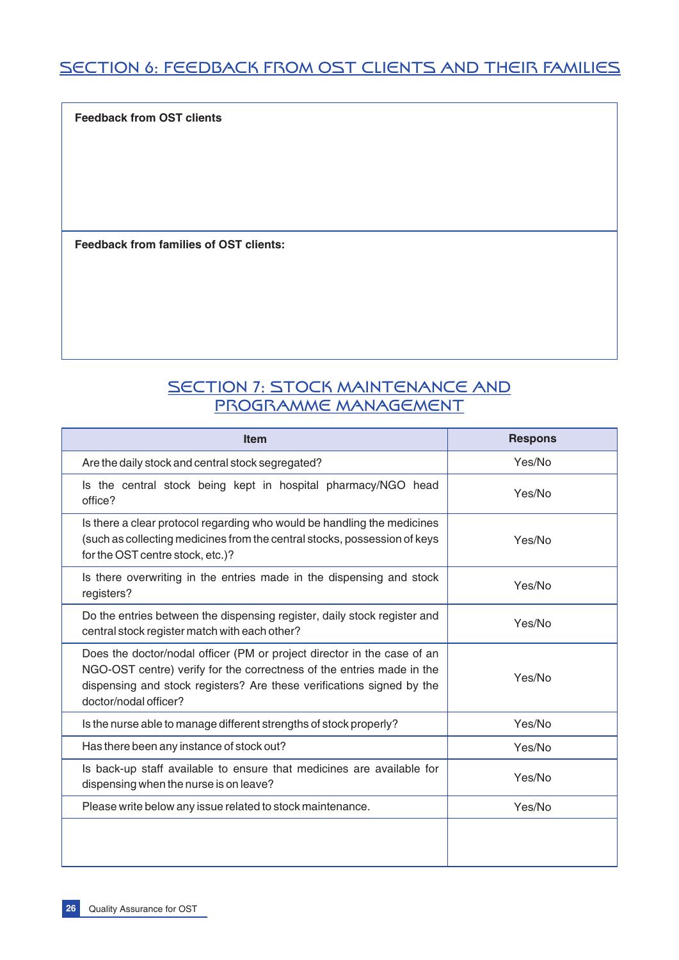# SECTION 6: FEEDBACK FROM OST CLIENTS AND THEIR FAMILIES

**Feedback from OST clients**

**Feedback from families of OST clients:**

# SECTION 7: STOCK MAINTENANCE AND PROGRAMME MANAGEMENT

| <b>Item</b>                                                                                                                                                                                                                                        | <b>Respons</b> |
|----------------------------------------------------------------------------------------------------------------------------------------------------------------------------------------------------------------------------------------------------|----------------|
| Are the daily stock and central stock segregated?                                                                                                                                                                                                  | Yes/No         |
| Is the central stock being kept in hospital pharmacy/NGO head<br>office?                                                                                                                                                                           | Yes/No         |
| Is there a clear protocol regarding who would be handling the medicines<br>(such as collecting medicines from the central stocks, possession of keys<br>for the OST centre stock, etc.)?                                                           | Yes/No         |
| Is there overwriting in the entries made in the dispensing and stock<br>registers?                                                                                                                                                                 | Yes/No         |
| Do the entries between the dispensing register, daily stock register and<br>central stock register match with each other?                                                                                                                          | Yes/No         |
| Does the doctor/nodal officer (PM or project director in the case of an<br>NGO-OST centre) verify for the correctness of the entries made in the<br>dispensing and stock registers? Are these verifications signed by the<br>doctor/nodal officer? | Yes/No         |
| Is the nurse able to manage different strengths of stock properly?                                                                                                                                                                                 | Yes/No         |
| Has there been any instance of stock out?                                                                                                                                                                                                          | Yes/No         |
| Is back-up staff available to ensure that medicines are available for<br>dispensing when the nurse is on leave?                                                                                                                                    | Yes/No         |
| Please write below any issue related to stock maintenance.                                                                                                                                                                                         | Yes/No         |
|                                                                                                                                                                                                                                                    |                |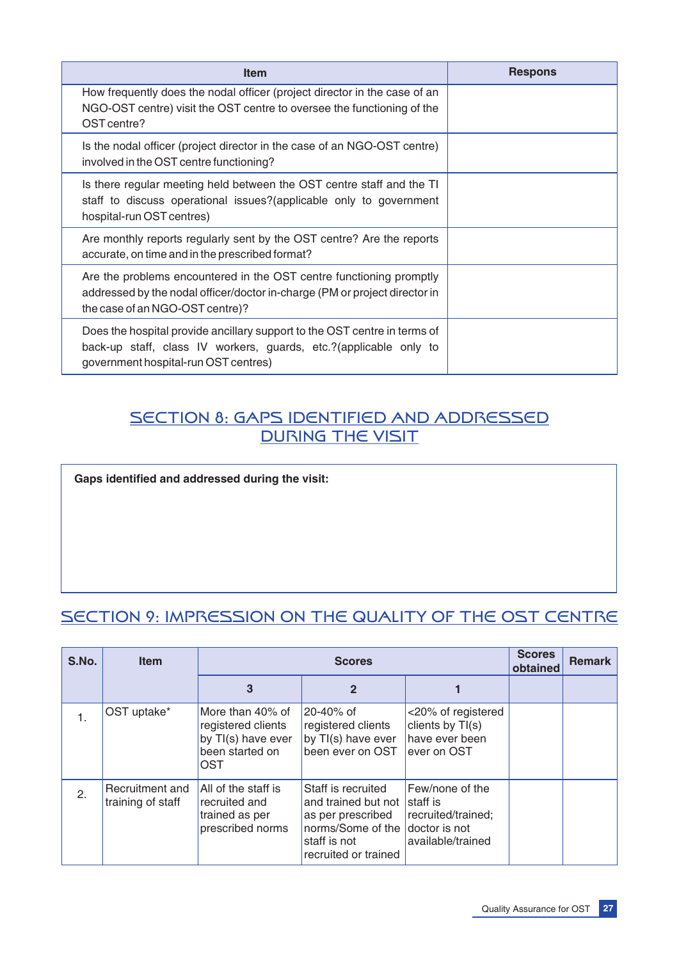| <b>Item</b>                                                                                                                                                                            | <b>Respons</b> |
|----------------------------------------------------------------------------------------------------------------------------------------------------------------------------------------|----------------|
| How frequently does the nodal officer (project director in the case of an<br>NGO-OST centre) visit the OST centre to oversee the functioning of the<br>OST centre?                     |                |
| Is the nodal officer (project director in the case of an NGO-OST centre)<br>involved in the OST centre functioning?                                                                    |                |
| Is there regular meeting held between the OST centre staff and the TI<br>staff to discuss operational issues? (applicable only to government<br>hospital-run OST centres)              |                |
| Are monthly reports regularly sent by the OST centre? Are the reports<br>accurate, on time and in the prescribed format?                                                               |                |
| Are the problems encountered in the OST centre functioning promptly<br>addressed by the nodal officer/doctor in-charge (PM or project director in<br>the case of an NGO-OST centre)?   |                |
| Does the hospital provide ancillary support to the OST centre in terms of<br>back-up staff, class IV workers, guards, etc.?(applicable only to<br>government hospital-run OST centres) |                |

# SECTION 8: GAPS IDENTIFIED AND ADDRESSED DURING THE VISIT

**Gaps identified and addressed during the visit:**

# SECTION 9: IMPRESSION ON THE QUALITY OF THE OST CENTRE

| S.No. | <b>Item</b>                          |                                                                                        | <b>Scores</b>                                                                                                               |                                                                                         |  | <b>Remark</b> |
|-------|--------------------------------------|----------------------------------------------------------------------------------------|-----------------------------------------------------------------------------------------------------------------------------|-----------------------------------------------------------------------------------------|--|---------------|
|       |                                      | 3                                                                                      |                                                                                                                             |                                                                                         |  |               |
| 1.    | OST uptake*                          | More than 40% of<br>registered clients<br>by TI(s) have ever<br>been started on<br>OST | 20-40% of<br>registered clients<br>by TI(s) have ever<br>been ever on OST                                                   | <20% of registered<br>clients by TI(s)<br>have ever been<br>ever on OST                 |  |               |
| 2.    | Recruitment and<br>training of staff | All of the staff is<br>recruited and<br>trained as per<br>prescribed norms             | Staff is recruited<br>and trained but not<br>as per prescribed<br>norms/Some of the<br>staff is not<br>recruited or trained | Few/none of the<br>staff is<br>recruited/trained;<br>doctor is not<br>available/trained |  |               |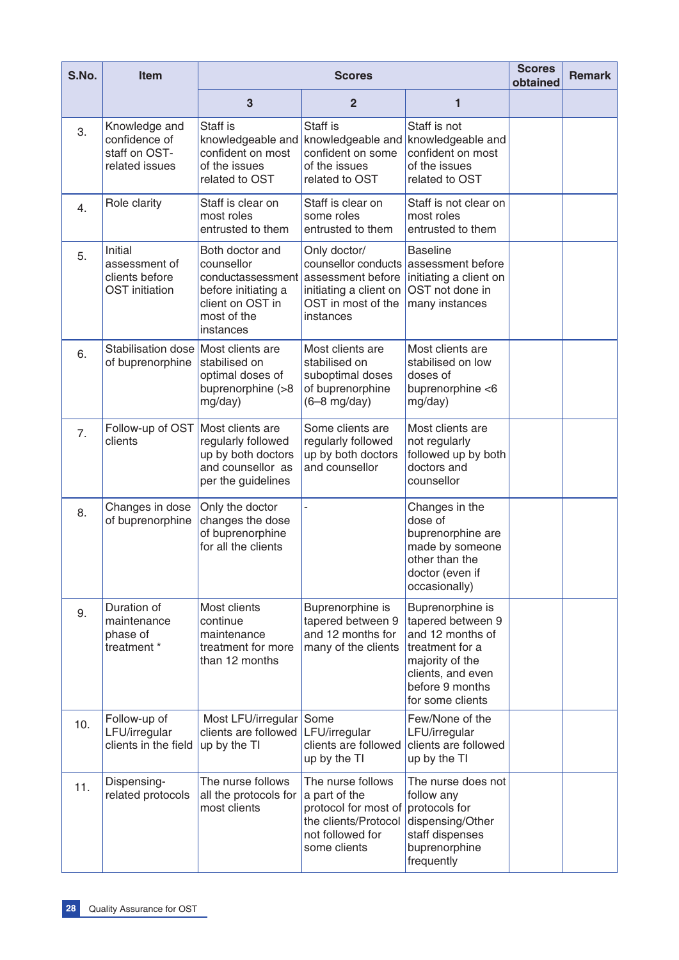| S.No. | Item                                                                | <b>Scores</b>                                                                                                             |                                                                                                                        |                                                                                                                                                             | <b>Scores</b><br>obtained | <b>Remark</b> |
|-------|---------------------------------------------------------------------|---------------------------------------------------------------------------------------------------------------------------|------------------------------------------------------------------------------------------------------------------------|-------------------------------------------------------------------------------------------------------------------------------------------------------------|---------------------------|---------------|
|       |                                                                     | 3                                                                                                                         | $\overline{2}$                                                                                                         | 1                                                                                                                                                           |                           |               |
| 3.    | Knowledge and<br>confidence of<br>staff on OST-<br>related issues   | Staff is<br>knowledgeable and<br>confident on most<br>of the issues<br>related to OST                                     | Staff is<br>knowledgeable and<br>confident on some<br>of the issues<br>related to OST                                  | Staff is not<br>knowledgeable and<br>confident on most<br>of the issues<br>related to OST                                                                   |                           |               |
| 4.    | Role clarity                                                        | Staff is clear on<br>most roles<br>entrusted to them                                                                      | Staff is clear on<br>some roles<br>entrusted to them                                                                   | Staff is not clear on<br>most roles<br>entrusted to them                                                                                                    |                           |               |
| 5.    | Initial<br>assessment of<br>clients before<br><b>OST</b> initiation | Both doctor and<br>counsellor<br>conductassessment<br>before initiating a<br>client on OST in<br>most of the<br>instances | Only doctor/<br>counsellor conducts<br>assessment before<br>initiating a client on<br>OST in most of the<br>instances  | <b>Baseline</b><br>assessment before<br>initiating a client on<br>OST not done in<br>many instances                                                         |                           |               |
| 6.    | Stabilisation dose<br>of buprenorphine                              | Most clients are<br>stabilised on<br>optimal doses of<br>buprenorphine (>8<br>mg/day)                                     | Most clients are<br>stabilised on<br>suboptimal doses<br>of buprenorphine<br>$(6-8$ mg/day)                            | Most clients are<br>stabilised on low<br>doses of<br>buprenorphine <6<br>mg/day)                                                                            |                           |               |
| 7.    | Follow-up of OST Most clients are<br>clients                        | regularly followed<br>up by both doctors<br>and counsellor as<br>per the guidelines                                       | Some clients are<br>regularly followed<br>up by both doctors<br>and counsellor                                         | Most clients are<br>not regularly<br>followed up by both<br>doctors and<br>counsellor                                                                       |                           |               |
| 8.    | Changes in dose<br>of buprenorphine                                 | Only the doctor<br>changes the dose<br>of buprenorphine<br>for all the clients                                            |                                                                                                                        | Changes in the<br>dose of<br>buprenorphine are<br>made by someone<br>other than the<br>doctor (even if<br>occasionally)                                     |                           |               |
| 9.    | Duration of<br>maintenance<br>phase of<br>treatment *               | Most clients<br>continue<br>maintenance<br>treatment for more<br>than 12 months                                           | Buprenorphine is<br>tapered between 9<br>and 12 months for<br>many of the clients                                      | Buprenorphine is<br>tapered between 9<br>and 12 months of<br>treatment for a<br>majority of the<br>clients, and even<br>before 9 months<br>for some clients |                           |               |
| 10.   | Follow-up of<br>LFU/irregular<br>clients in the field               | Most LFU/irregular<br>clients are followed<br>up by the TI                                                                | Some<br>LFU/irregular<br>clients are followed<br>up by the TI                                                          | Few/None of the<br>LFU/irregular<br>clients are followed<br>up by the TI                                                                                    |                           |               |
| 11.   | Dispensing-<br>related protocols                                    | The nurse follows<br>all the protocols for<br>most clients                                                                | The nurse follows<br>a part of the<br>protocol for most of<br>the clients/Protocol<br>not followed for<br>some clients | The nurse does not<br>follow any<br>protocols for<br>dispensing/Other<br>staff dispenses<br>buprenorphine<br>frequently                                     |                           |               |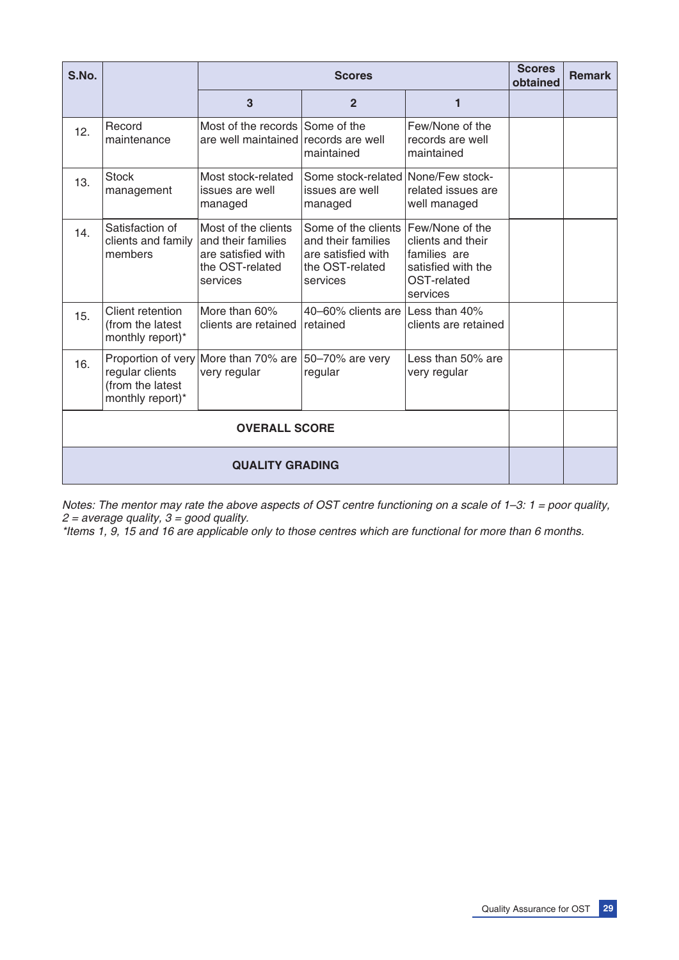| S.No. |                                                          |                                                                                                | <b>Scores</b>                                                                                  |                                                                                                       |  | <b>Remark</b> |
|-------|----------------------------------------------------------|------------------------------------------------------------------------------------------------|------------------------------------------------------------------------------------------------|-------------------------------------------------------------------------------------------------------|--|---------------|
|       |                                                          | 3                                                                                              | $\overline{2}$                                                                                 | 1                                                                                                     |  |               |
| 12.   | Record<br>maintenance                                    | Most of the records Some of the<br>are well maintained records are well                        | maintained                                                                                     | Few/None of the<br>records are well<br>maintained                                                     |  |               |
| 13.   | <b>Stock</b><br>management                               | Most stock-related<br>issues are well<br>managed                                               | Some stock-related<br>issues are well<br>managed                                               | None/Few stock-<br>related issues are<br>well managed                                                 |  |               |
| 14.   | Satisfaction of<br>clients and family<br>members         | Most of the clients<br>and their families<br>are satisfied with<br>the OST-related<br>services | Some of the clients<br>and their families<br>are satisfied with<br>the OST-related<br>services | Few/None of the<br>clients and their<br>families are<br>satisfied with the<br>OST-related<br>services |  |               |
| 15.   | Client retention<br>(from the latest<br>monthly report)* | More than 60%<br>clients are retained                                                          | 40-60% clients are<br>retained                                                                 | Less than 40%<br>clients are retained                                                                 |  |               |
| 16.   | regular clients<br>(from the latest<br>monthly report)*  | Proportion of very More than 70% are<br>very regular                                           | 50-70% are very<br>regular                                                                     | Less than 50% are<br>very regular                                                                     |  |               |
|       | <b>OVERALL SCORE</b>                                     |                                                                                                |                                                                                                |                                                                                                       |  |               |
|       | <b>QUALITY GRADING</b>                                   |                                                                                                |                                                                                                |                                                                                                       |  |               |

*Notes: The mentor may rate the above aspects of OST centre functioning on a scale of 1–3: 1 = poor quality, 2 = average quality, 3 = good quality.*

*\*Items 1, 9, 15 and 16 are applicable only to those centres which are functional for more than 6 months.*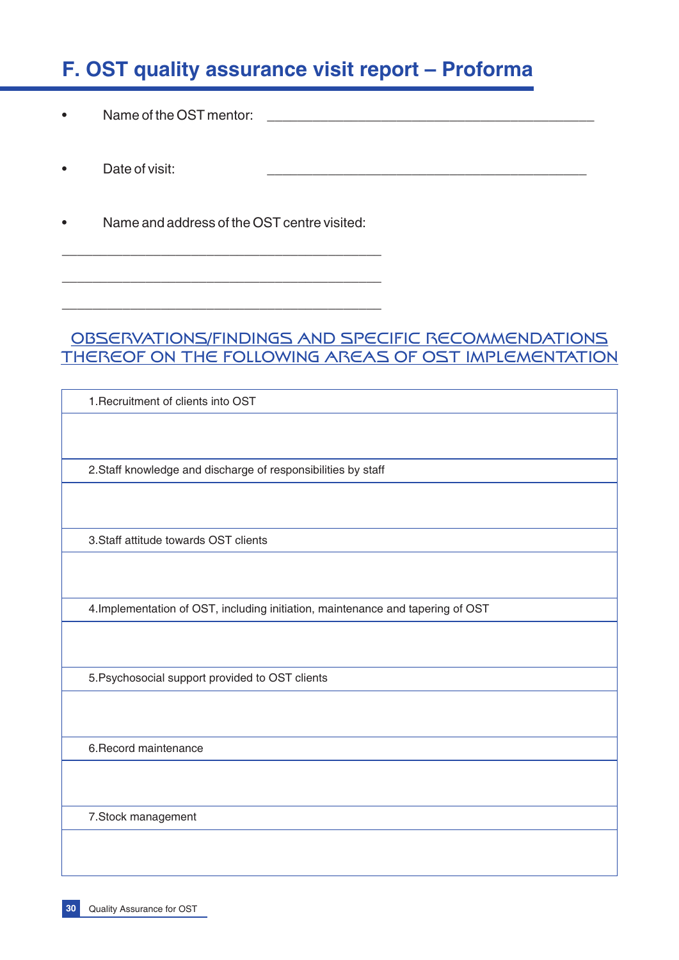# **F. OST quality assurance visit report – Proforma**

- Name of the OST mentor:
- Date of visit:
- Name and address of the OST centre visited:

\_\_\_\_\_\_\_\_\_\_\_\_\_\_\_\_\_\_\_\_\_\_\_\_\_\_\_\_\_\_\_\_\_\_\_\_\_\_\_\_\_\_

\_\_\_\_\_\_\_\_\_\_\_\_\_\_\_\_\_\_\_\_\_\_\_\_\_\_\_\_\_\_\_\_\_\_\_\_\_\_\_\_\_\_

\_\_\_\_\_\_\_\_\_\_\_\_\_\_\_\_\_\_\_\_\_\_\_\_\_\_\_\_\_\_\_\_\_\_\_\_\_\_\_\_\_\_

# OBSERVATIONS/FINDINGS AND SPECIFIC RECOMMENDATIONS THEREOF ON THE FOLLOWING AREAS OF OST IMPLEMENTATION

1.Recruitment of clients into OST

2.Staff knowledge and discharge of responsibilities by staff

3.Staff attitude towards OST clients

4.Implementation of OST, including initiation, maintenance and tapering of OST

5.Psychosocial support provided to OST clients

6.Record maintenance

7.Stock management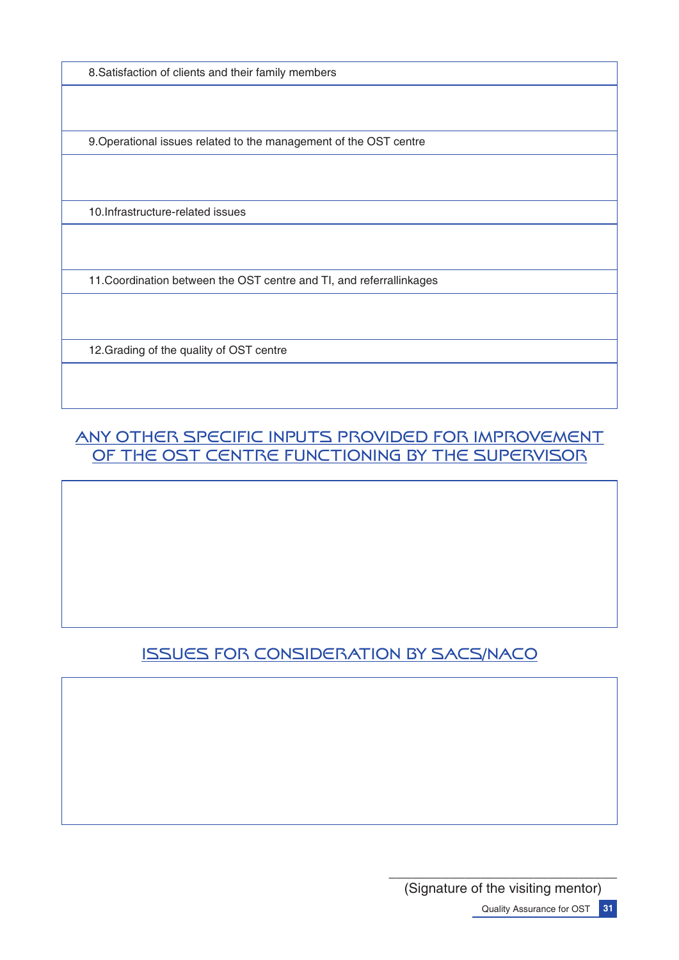8.Satisfaction of clients and their family members

9.Operational issues related to the management of the OST centre

10.Infrastructure-related issues

11.Coordination between the OST centre and TI, and referrallinkages

12.Grading of the quality of OST centre

# ANY OTHER SPECIFIC INPUTS PROVIDED FOR IMPROVEMENT OF THE OST CENTRE FUNCTIONING BY THE SUPERVISOR

# ISSUES FOR CONSIDERATION BY SACS/NACO

\_\_\_\_\_\_\_\_\_\_\_\_\_\_\_\_\_\_\_\_\_\_\_\_\_\_\_\_\_\_ (Signature of the visiting mentor) Quality Assurance for OST **31**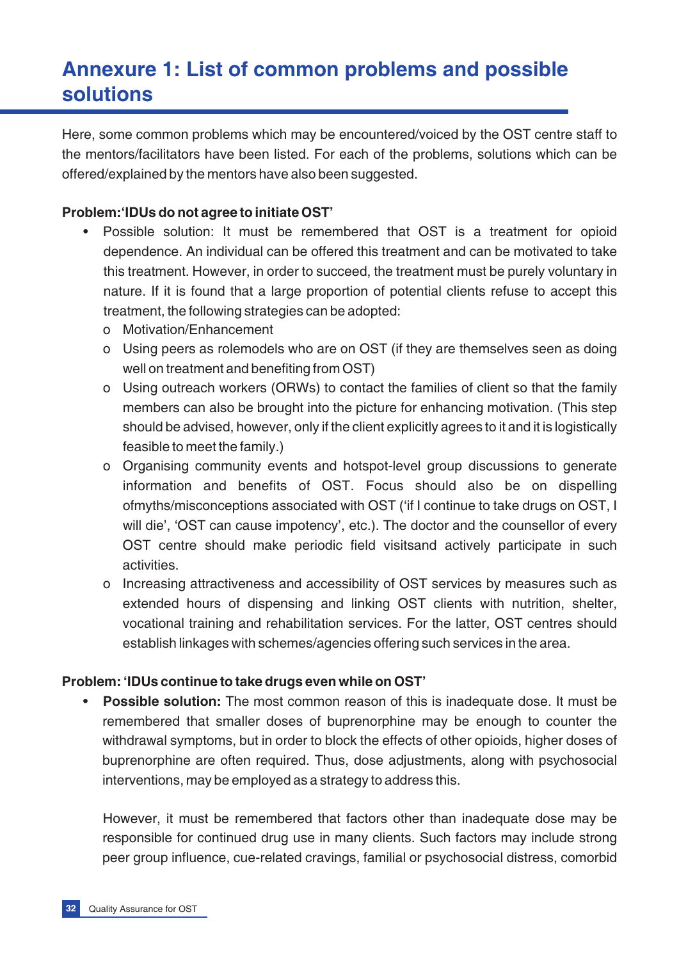# **Annexure 1: List of common problems and possible solutions**

Here, some common problems which may be encountered/voiced by the OST centre staff to the mentors/facilitators have been listed. For each of the problems, solutions which can be offered/explained by the mentors have also been suggested.

#### **Problem:'IDUs do not agree to initiate OST'**

- Possible solution: It must be remembered that OST is a treatment for opioid dependence. An individual can be offered this treatment and can be motivated to take this treatment. However, in order to succeed, the treatment must be purely voluntary in nature. If it is found that a large proportion of potential clients refuse to accept this treatment, the following strategies can be adopted:
	- o Motivation/Enhancement
	- o Using peers as rolemodels who are on OST (if they are themselves seen as doing well on treatment and benefiting from OST)
	- o Using outreach workers (ORWs) to contact the families of client so that the family members can also be brought into the picture for enhancing motivation. (This step should be advised, however, only if the client explicitly agrees to it and it is logistically feasible to meet the family.)
	- o Organising community events and hotspot-level group discussions to generate information and benefits of OST. Focus should also be on dispelling ofmyths/misconceptions associated with OST ('if I continue to take drugs on OST, I will die', 'OST can cause impotency', etc.). The doctor and the counsellor of every OST centre should make periodic field visitsand actively participate in such activities.
	- o Increasing attractiveness and accessibility of OST services by measures such as extended hours of dispensing and linking OST clients with nutrition, shelter, vocational training and rehabilitation services. For the latter, OST centres should establish linkages with schemes/agencies offering such services in the area.

#### **Problem: 'IDUs continue to take drugs even while on OST'**

**Possible solution:** The most common reason of this is inadequate dose. It must be remembered that smaller doses of buprenorphine may be enough to counter the withdrawal symptoms, but in order to block the effects of other opioids, higher doses of buprenorphine are often required. Thus, dose adjustments, along with psychosocial interventions, may be employed as a strategy to address this.

However, it must be remembered that factors other than inadequate dose may be responsible for continued drug use in many clients. Such factors may include strong peer group influence, cue-related cravings, familial or psychosocial distress, comorbid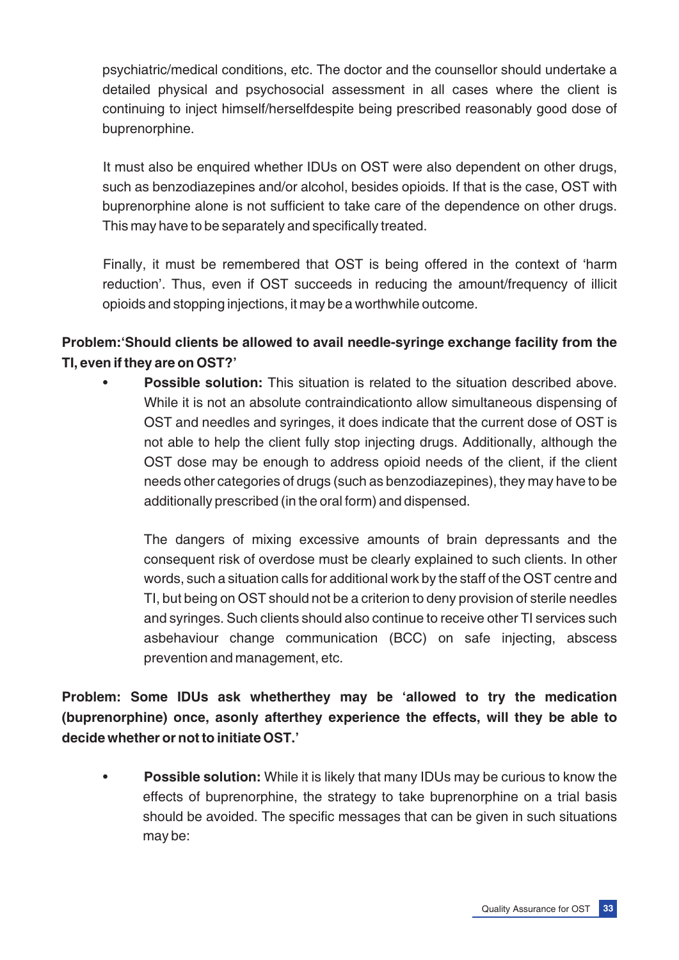psychiatric/medical conditions, etc. The doctor and the counsellor should undertake a detailed physical and psychosocial assessment in all cases where the client is continuing to inject himself/herselfdespite being prescribed reasonably good dose of buprenorphine.

It must also be enquired whether IDUs on OST were also dependent on other drugs, such as benzodiazepines and/or alcohol, besides opioids. If that is the case, OST with buprenorphine alone is not sufficient to take care of the dependence on other drugs. This may have to be separately and specifically treated.

Finally, it must be remembered that OST is being offered in the context of 'harm reduction'. Thus, even if OST succeeds in reducing the amount/frequency of illicit opioids and stopping injections, it may be a worthwhile outcome.

### **Problem:'Should clients be allowed to avail needle-syringe exchange facility from the TI, even if they are on OST?'**

**Possible solution:** This situation is related to the situation described above. While it is not an absolute contraindicationto allow simultaneous dispensing of OST and needles and syringes, it does indicate that the current dose of OST is not able to help the client fully stop injecting drugs. Additionally, although the OST dose may be enough to address opioid needs of the client, if the client needs other categories of drugs (such as benzodiazepines), they may have to be additionally prescribed (in the oral form) and dispensed.

The dangers of mixing excessive amounts of brain depressants and the consequent risk of overdose must be clearly explained to such clients. In other words, such a situation calls for additional work by the staff of the OST centre and TI, but being on OST should not be a criterion to deny provision of sterile needles and syringes. Such clients should also continue to receive other TI services such asbehaviour change communication (BCC) on safe injecting, abscess prevention and management, etc.

**Problem: Some IDUs ask whetherthey may be 'allowed to try the medication (buprenorphine) once, asonly afterthey experience the effects, will they be able to decide whether or not to initiate OST.'**

• **Possible solution:** While it is likely that many IDUs may be curious to know the effects of buprenorphine, the strategy to take buprenorphine on a trial basis should be avoided. The specific messages that can be given in such situations may be: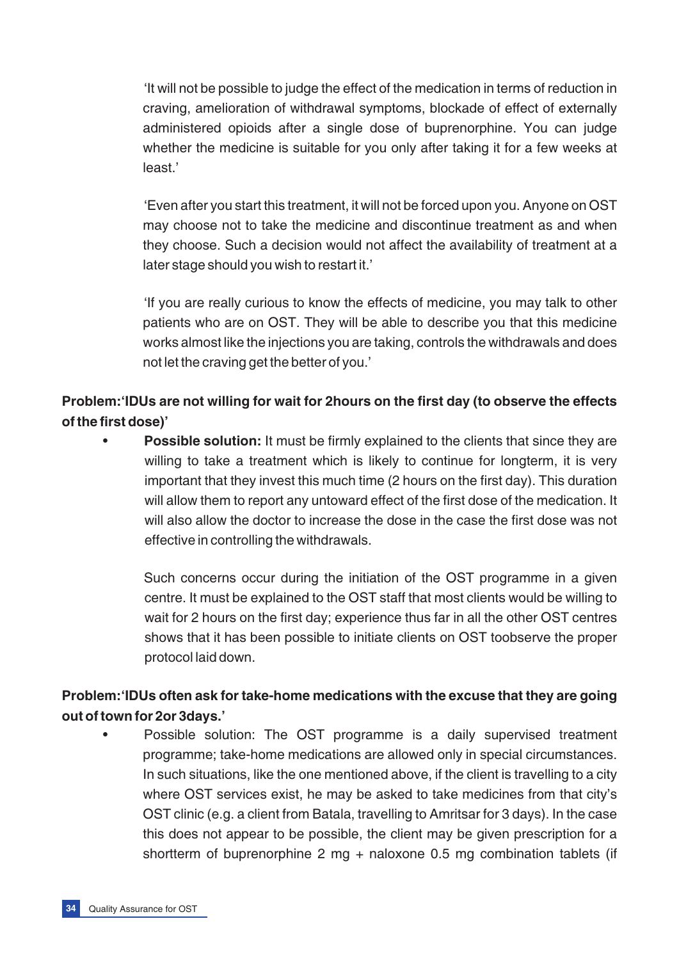'It will not be possible to judge the effect of the medication in terms of reduction in craving, amelioration of withdrawal symptoms, blockade of effect of externally administered opioids after a single dose of buprenorphine. You can judge whether the medicine is suitable for you only after taking it for a few weeks at least.'

'Even after you start this treatment, it will not be forced upon you. Anyone on OST may choose not to take the medicine and discontinue treatment as and when they choose. Such a decision would not affect the availability of treatment at a later stage should you wish to restart it.'

'If you are really curious to know the effects of medicine, you may talk to other patients who are on OST. They will be able to describe you that this medicine works almost like the injections you are taking, controls the withdrawals and does not let the craving get the better of you.'

# **Problem:'IDUs are not willing for wait for 2hours on the first day (to observe the effects of the first dose)'**

**Possible solution:** It must be firmly explained to the clients that since they are willing to take a treatment which is likely to continue for longterm, it is very important that they invest this much time (2 hours on the first day). This duration will allow them to report any untoward effect of the first dose of the medication. It will also allow the doctor to increase the dose in the case the first dose was not effective in controlling the withdrawals.

Such concerns occur during the initiation of the OST programme in a given centre. It must be explained to the OST staff that most clients would be willing to wait for 2 hours on the first day; experience thus far in all the other OST centres shows that it has been possible to initiate clients on OST toobserve the proper protocol laid down.

# **Problem:'IDUs often ask for take-home medications with the excuse that they are going out of town for 2or 3days.'**

• Possible solution: The OST programme is a daily supervised treatment programme; take-home medications are allowed only in special circumstances. In such situations, like the one mentioned above, if the client is travelling to a city where OST services exist, he may be asked to take medicines from that city's OST clinic (e.g. a client from Batala, travelling to Amritsar for 3 days). In the case this does not appear to be possible, the client may be given prescription for a shortterm of buprenorphine 2 mg + naloxone 0.5 mg combination tablets (if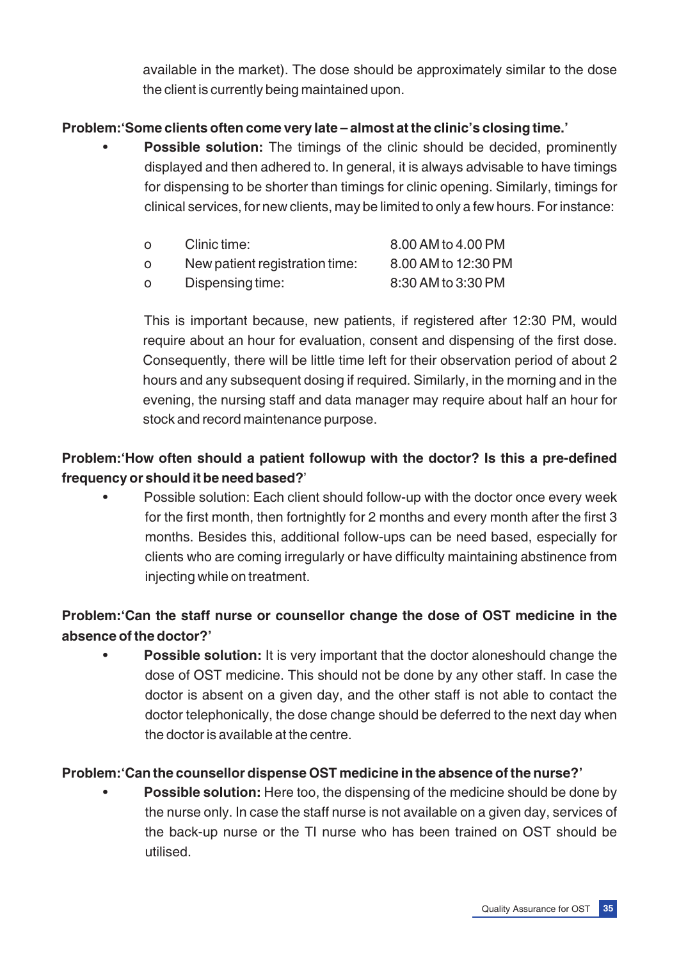available in the market). The dose should be approximately similar to the dose the client is currently being maintained upon.

#### **Problem:'Some clients often come very late – almost at the clinic's closing time.'**

**Possible solution:** The timings of the clinic should be decided, prominently displayed and then adhered to. In general, it is always advisable to have timings for dispensing to be shorter than timings for clinic opening. Similarly, timings for clinical services, for new clients, may be limited to only a few hours. For instance:

| $\Omega$ | Clinic time:                   | 8.00 AM to 4.00 PM  |
|----------|--------------------------------|---------------------|
| $\Omega$ | New patient registration time: | 8.00 AM to 12:30 PM |
| $\Omega$ | Dispensing time:               | 8:30 AM to 3:30 PM  |

This is important because, new patients, if registered after 12:30 PM, would require about an hour for evaluation, consent and dispensing of the first dose. Consequently, there will be little time left for their observation period of about 2 hours and any subsequent dosing if required. Similarly, in the morning and in the evening, the nursing staff and data manager may require about half an hour for stock and record maintenance purpose.

# **Problem:'How often should a patient followup with the doctor? Is this a pre-defined frequency or should it be need based?**'

Possible solution: Each client should follow-up with the doctor once every week for the first month, then fortnightly for 2 months and every month after the first 3 months. Besides this, additional follow-ups can be need based, especially for clients who are coming irregularly or have difficulty maintaining abstinence from injecting while on treatment.

# **Problem:'Can the staff nurse or counsellor change the dose of OST medicine in the absence of the doctor?'**

**Possible solution:** It is very important that the doctor aloneshould change the dose of OST medicine. This should not be done by any other staff. In case the doctor is absent on a given day, and the other staff is not able to contact the doctor telephonically, the dose change should be deferred to the next day when the doctor is available at the centre.

#### **Problem:'Can the counsellor dispense OST medicine in the absence of the nurse?'**

**Possible solution:** Here too, the dispensing of the medicine should be done by the nurse only. In case the staff nurse is not available on a given day, services of the back-up nurse or the TI nurse who has been trained on OST should be utilised.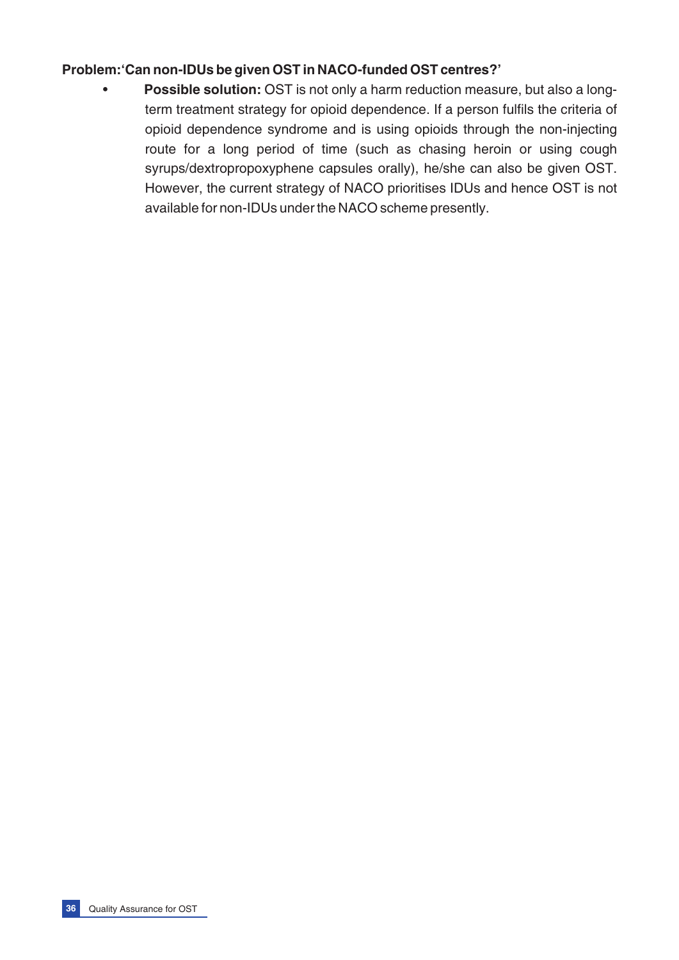#### **Problem:'Can non-IDUs be given OST in NACO-funded OST centres?'**

• **Possible solution:** OST is not only a harm reduction measure, but also a longterm treatment strategy for opioid dependence. If a person fulfils the criteria of opioid dependence syndrome and is using opioids through the non-injecting route for a long period of time (such as chasing heroin or using cough syrups/dextropropoxyphene capsules orally), he/she can also be given OST. However, the current strategy of NACO prioritises IDUs and hence OST is not available for non-IDUs under the NACO scheme presently.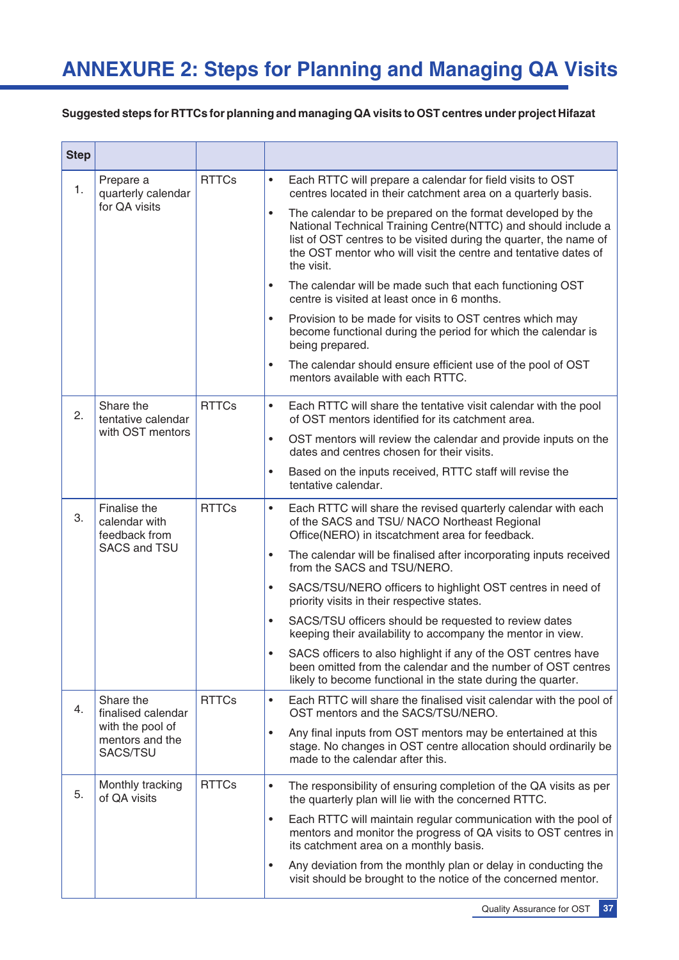#### **Suggested steps for RTTCs for planning and managing QA visits to OST centres under project Hifazat**

| <b>Step</b> |                                                                                    |              |                                                                                                                                                                                                                                                                                                                                                                                                                                                                                                                                                                                                                                                                                                                                                                                                                                                  |
|-------------|------------------------------------------------------------------------------------|--------------|--------------------------------------------------------------------------------------------------------------------------------------------------------------------------------------------------------------------------------------------------------------------------------------------------------------------------------------------------------------------------------------------------------------------------------------------------------------------------------------------------------------------------------------------------------------------------------------------------------------------------------------------------------------------------------------------------------------------------------------------------------------------------------------------------------------------------------------------------|
| 1.          | Prepare a<br>quarterly calendar<br>for QA visits                                   | <b>RTTCs</b> | Each RTTC will prepare a calendar for field visits to OST<br>$\bullet$<br>centres located in their catchment area on a quarterly basis.<br>The calendar to be prepared on the format developed by the<br>$\bullet$<br>National Technical Training Centre(NTTC) and should include a<br>list of OST centres to be visited during the quarter, the name of<br>the OST mentor who will visit the centre and tentative dates of<br>the visit.<br>The calendar will be made such that each functioning OST<br>$\bullet$<br>centre is visited at least once in 6 months.<br>Provision to be made for visits to OST centres which may<br>$\bullet$<br>become functional during the period for which the calendar is<br>being prepared.<br>The calendar should ensure efficient use of the pool of OST<br>$\bullet$<br>mentors available with each RTTC. |
| 2.          | Share the<br>tentative calendar<br>with OST mentors                                | <b>RTTCs</b> | Each RTTC will share the tentative visit calendar with the pool<br>$\bullet$<br>of OST mentors identified for its catchment area.<br>OST mentors will review the calendar and provide inputs on the<br>$\bullet$<br>dates and centres chosen for their visits.<br>Based on the inputs received, RTTC staff will revise the<br>$\bullet$<br>tentative calendar.                                                                                                                                                                                                                                                                                                                                                                                                                                                                                   |
| 3.          | Finalise the<br>calendar with<br>feedback from<br><b>SACS and TSU</b>              | <b>RTTCs</b> | Each RTTC will share the revised quarterly calendar with each<br>$\bullet$<br>of the SACS and TSU/ NACO Northeast Regional<br>Office(NERO) in itscatchment area for feedback.<br>The calendar will be finalised after incorporating inputs received<br>$\bullet$<br>from the SACS and TSU/NERO.<br>SACS/TSU/NERO officers to highlight OST centres in need of<br>$\bullet$<br>priority visits in their respective states.<br>SACS/TSU officers should be requested to review dates<br>$\bullet$<br>keeping their availability to accompany the mentor in view.<br>SACS officers to also highlight if any of the OST centres have<br>been omitted from the calendar and the number of OST centres<br>likely to become functional in the state during the quarter.                                                                                 |
| 4.          | Share the<br>finalised calendar<br>with the pool of<br>mentors and the<br>SACS/TSU | <b>RTTCs</b> | Each RTTC will share the finalised visit calendar with the pool of<br>$\bullet$<br>OST mentors and the SACS/TSU/NERO.<br>Any final inputs from OST mentors may be entertained at this<br>$\bullet$<br>stage. No changes in OST centre allocation should ordinarily be<br>made to the calendar after this.                                                                                                                                                                                                                                                                                                                                                                                                                                                                                                                                        |
| 5.          | Monthly tracking<br>of QA visits                                                   | <b>RTTCs</b> | The responsibility of ensuring completion of the QA visits as per<br>$\bullet$<br>the quarterly plan will lie with the concerned RTTC.<br>Each RTTC will maintain regular communication with the pool of<br>$\bullet$<br>mentors and monitor the progress of QA visits to OST centres in<br>its catchment area on a monthly basis.<br>Any deviation from the monthly plan or delay in conducting the<br>$\bullet$<br>visit should be brought to the notice of the concerned mentor.                                                                                                                                                                                                                                                                                                                                                              |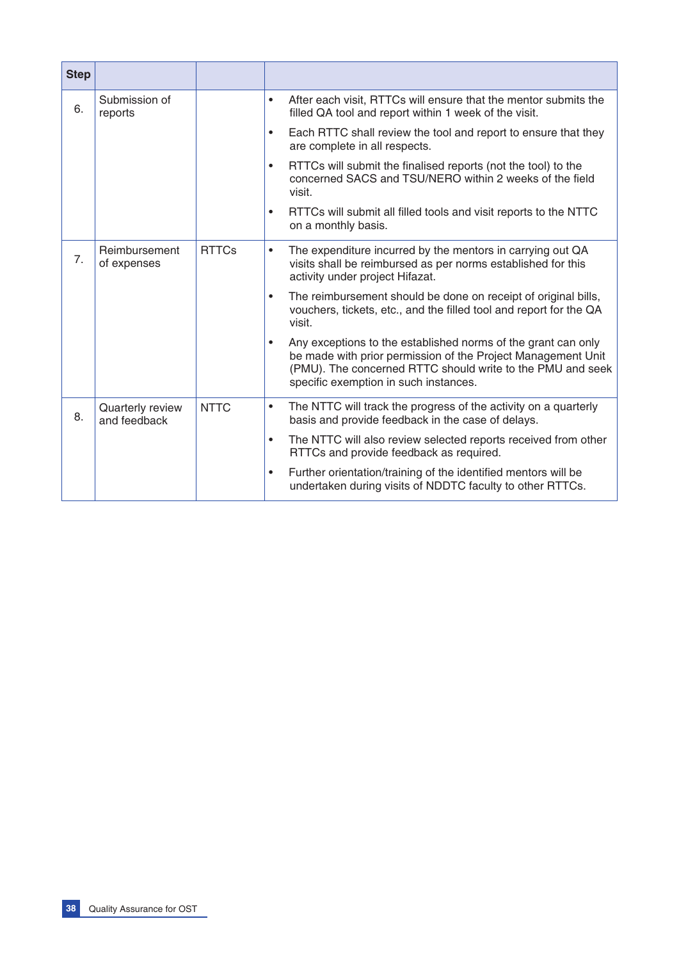| <b>Step</b> |                                  |              |                                                                                                                                                                                                                                                   |
|-------------|----------------------------------|--------------|---------------------------------------------------------------------------------------------------------------------------------------------------------------------------------------------------------------------------------------------------|
| 6.          | Submission of<br>reports         |              | After each visit, RTTCs will ensure that the mentor submits the<br>$\bullet$<br>filled QA tool and report within 1 week of the visit.                                                                                                             |
|             |                                  |              | Each RTTC shall review the tool and report to ensure that they<br>$\bullet$<br>are complete in all respects.                                                                                                                                      |
|             |                                  |              | RTTCs will submit the finalised reports (not the tool) to the<br>$\bullet$<br>concerned SACS and TSU/NERO within 2 weeks of the field<br>visit.                                                                                                   |
|             |                                  |              | RTTCs will submit all filled tools and visit reports to the NTTC<br>$\bullet$<br>on a monthly basis.                                                                                                                                              |
| 7.          | Reimbursement<br>of expenses     | <b>RTTCs</b> | The expenditure incurred by the mentors in carrying out QA<br>٠<br>visits shall be reimbursed as per norms established for this<br>activity under project Hifazat.                                                                                |
|             |                                  |              | The reimbursement should be done on receipt of original bills,<br>$\bullet$<br>vouchers, tickets, etc., and the filled tool and report for the QA<br>visit.                                                                                       |
|             |                                  |              | Any exceptions to the established norms of the grant can only<br>$\bullet$<br>be made with prior permission of the Project Management Unit<br>(PMU). The concerned RTTC should write to the PMU and seek<br>specific exemption in such instances. |
| 8.          | Quarterly review<br>and feedback | <b>NTTC</b>  | The NTTC will track the progress of the activity on a quarterly<br>$\bullet$<br>basis and provide feedback in the case of delays.                                                                                                                 |
|             |                                  |              | The NTTC will also review selected reports received from other<br>$\bullet$<br>RTTCs and provide feedback as required.                                                                                                                            |
|             |                                  |              | Further orientation/training of the identified mentors will be<br>$\bullet$<br>undertaken during visits of NDDTC faculty to other RTTCs.                                                                                                          |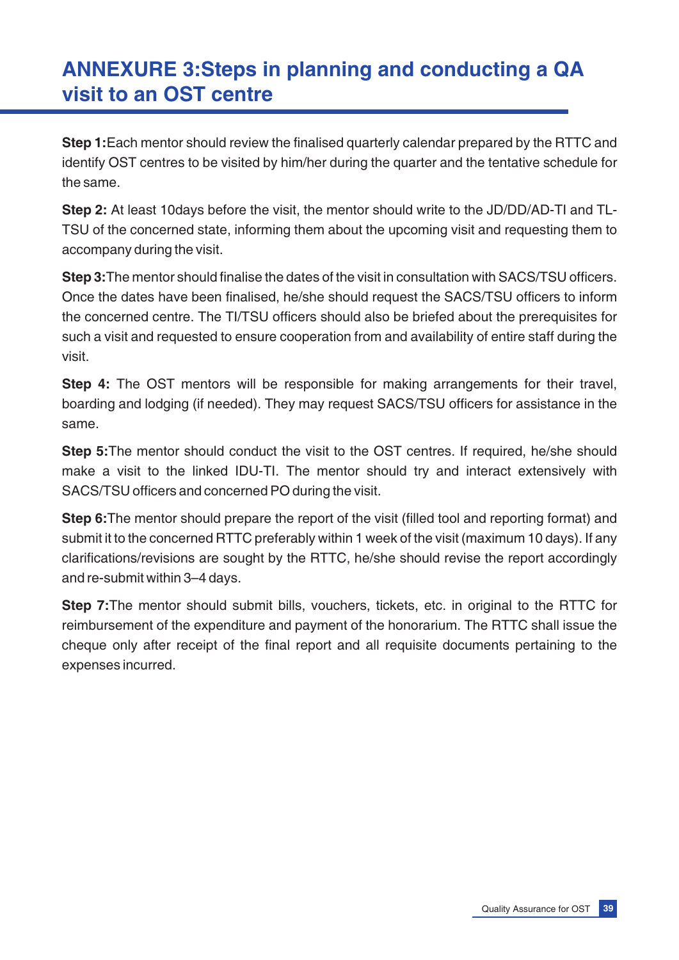# **ANNEXURE 3:Steps in planning and conducting a QA visit to an OST centre**

**Step 1:**Each mentor should review the finalised quarterly calendar prepared by the RTTC and identify OST centres to be visited by him/her during the quarter and the tentative schedule for the same.

**Step 2:** At least 10days before the visit, the mentor should write to the JD/DD/AD-TI and TL-TSU of the concerned state, informing them about the upcoming visit and requesting them to accompany during the visit.

**Step 3:**The mentor should finalise the dates of the visit in consultation with SACS/TSU officers. Once the dates have been finalised, he/she should request the SACS/TSU officers to inform the concerned centre. The TI/TSU officers should also be briefed about the prerequisites for such a visit and requested to ensure cooperation from and availability of entire staff during the visit.

**Step 4:** The OST mentors will be responsible for making arrangements for their travel, boarding and lodging (if needed). They may request SACS/TSU officers for assistance in the same.

**Step 5:**The mentor should conduct the visit to the OST centres. If required, he/she should make a visit to the linked IDU-TI. The mentor should try and interact extensively with SACS/TSU officers and concerned PO during the visit.

**Step 6:**The mentor should prepare the report of the visit (filled tool and reporting format) and submit it to the concerned RTTC preferably within 1 week of the visit (maximum 10 days). If any clarifications/revisions are sought by the RTTC, he/she should revise the report accordingly and re-submit within 3–4 days.

**Step 7:**The mentor should submit bills, vouchers, tickets, etc. in original to the RTTC for reimbursement of the expenditure and payment of the honorarium. The RTTC shall issue the cheque only after receipt of the final report and all requisite documents pertaining to the expenses incurred.